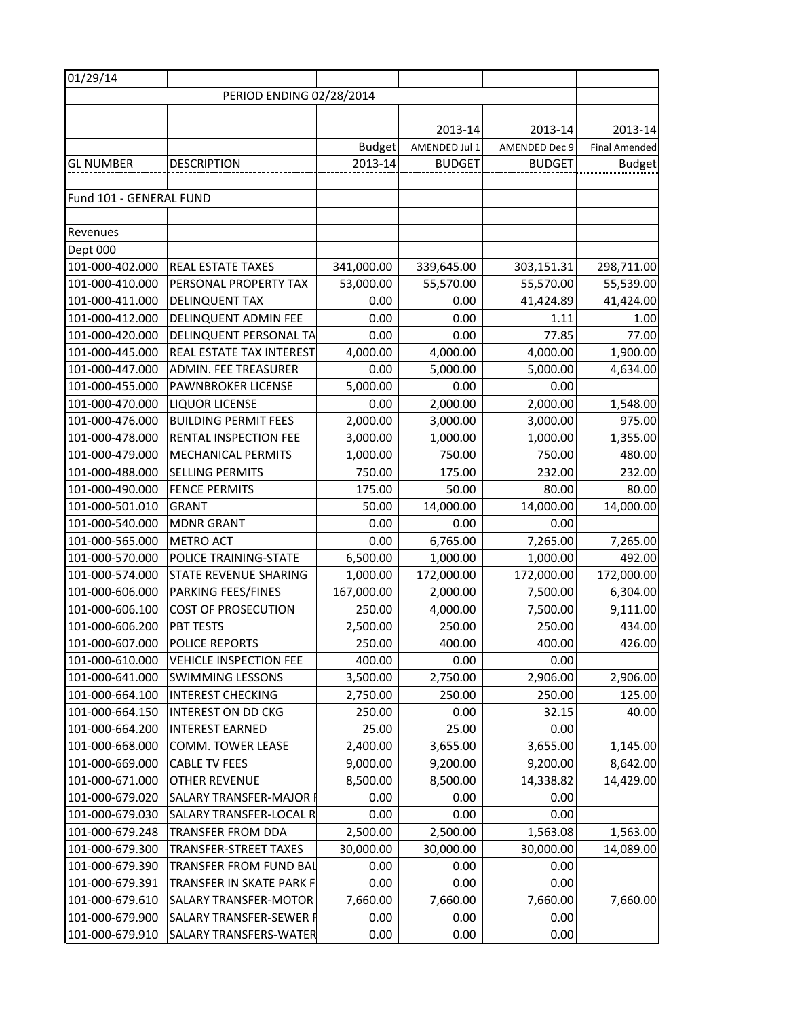| 01/29/14                 |                                |               |               |               |                      |  |
|--------------------------|--------------------------------|---------------|---------------|---------------|----------------------|--|
| PERIOD ENDING 02/28/2014 |                                |               |               |               |                      |  |
|                          |                                |               |               |               |                      |  |
|                          |                                |               | 2013-14       | 2013-14       | 2013-14              |  |
|                          |                                | <b>Budget</b> | AMENDED Jul 1 | AMENDED Dec 9 | <b>Final Amended</b> |  |
| <b>GL NUMBER</b>         | <b>DESCRIPTION</b>             | 2013-14       | <b>BUDGET</b> | <b>BUDGET</b> | <b>Budget</b>        |  |
|                          |                                |               |               |               |                      |  |
| Fund 101 - GENERAL FUND  |                                |               |               |               |                      |  |
|                          |                                |               |               |               |                      |  |
| Revenues                 |                                |               |               |               |                      |  |
| Dept 000                 |                                |               |               |               |                      |  |
| 101-000-402.000          | <b>REAL ESTATE TAXES</b>       | 341,000.00    | 339,645.00    | 303,151.31    | 298,711.00           |  |
| 101-000-410.000          | PERSONAL PROPERTY TAX          | 53,000.00     | 55,570.00     | 55,570.00     | 55,539.00            |  |
| 101-000-411.000          | <b>DELINQUENT TAX</b>          | 0.00          | 0.00          | 41,424.89     | 41,424.00            |  |
| 101-000-412.000          | <b>DELINQUENT ADMIN FEE</b>    | 0.00          | 0.00          | 1.11          | 1.00                 |  |
| 101-000-420.000          | DELINQUENT PERSONAL TA         | 0.00          | 0.00          | 77.85         | 77.00                |  |
| 101-000-445.000          | REAL ESTATE TAX INTEREST       | 4,000.00      | 4,000.00      | 4,000.00      | 1,900.00             |  |
| 101-000-447.000          | <b>ADMIN. FEE TREASURER</b>    | 0.00          | 5,000.00      | 5,000.00      | 4,634.00             |  |
| 101-000-455.000          | PAWNBROKER LICENSE             | 5,000.00      | 0.00          | 0.00          |                      |  |
| 101-000-470.000          | <b>LIQUOR LICENSE</b>          | 0.00          | 2,000.00      | 2,000.00      | 1,548.00             |  |
| 101-000-476.000          | <b>BUILDING PERMIT FEES</b>    | 2,000.00      | 3,000.00      | 3,000.00      | 975.00               |  |
| 101-000-478.000          | <b>RENTAL INSPECTION FEE</b>   | 3,000.00      | 1,000.00      | 1,000.00      | 1,355.00             |  |
| 101-000-479.000          | <b>MECHANICAL PERMITS</b>      | 1,000.00      | 750.00        | 750.00        | 480.00               |  |
| 101-000-488.000          | <b>SELLING PERMITS</b>         | 750.00        | 175.00        | 232.00        | 232.00               |  |
| 101-000-490.000          | <b>FENCE PERMITS</b>           | 175.00        | 50.00         | 80.00         | 80.00                |  |
| 101-000-501.010          | <b>GRANT</b>                   | 50.00         | 14,000.00     | 14,000.00     | 14,000.00            |  |
| 101-000-540.000          | <b>MDNR GRANT</b>              | 0.00          | 0.00          | 0.00          |                      |  |
| 101-000-565.000          | <b>METRO ACT</b>               | 0.00          | 6,765.00      | 7,265.00      | 7,265.00             |  |
| 101-000-570.000          | POLICE TRAINING-STATE          | 6,500.00      | 1,000.00      | 1,000.00      | 492.00               |  |
| 101-000-574.000          | <b>STATE REVENUE SHARING</b>   | 1,000.00      | 172,000.00    | 172,000.00    | 172,000.00           |  |
| 101-000-606.000          | <b>PARKING FEES/FINES</b>      | 167,000.00    | 2,000.00      | 7,500.00      | 6,304.00             |  |
| 101-000-606.100          | <b>COST OF PROSECUTION</b>     | 250.00        | 4,000.00      | 7,500.00      | 9,111.00             |  |
| 101-000-606.200          | PBT TESTS                      | 2,500.00      | 250.00        | 250.00        | 434.00               |  |
| 101-000-607.000          | <b>POLICE REPORTS</b>          | 250.00        | 400.00        | 400.00        | 426.00               |  |
| 101-000-610.000          | <b>VEHICLE INSPECTION FEE</b>  | 400.00        | 0.00          | 0.00          |                      |  |
| 101-000-641.000          | <b>SWIMMING LESSONS</b>        | 3,500.00      | 2,750.00      | 2,906.00      | 2,906.00             |  |
| 101-000-664.100          | <b>INTEREST CHECKING</b>       | 2,750.00      | 250.00        | 250.00        | 125.00               |  |
| 101-000-664.150          | <b>INTEREST ON DD CKG</b>      | 250.00        | 0.00          | 32.15         | 40.00                |  |
| 101-000-664.200          | <b>INTEREST EARNED</b>         | 25.00         | 25.00         | 0.00          |                      |  |
| 101-000-668.000          | <b>COMM. TOWER LEASE</b>       | 2,400.00      | 3,655.00      | 3,655.00      | 1,145.00             |  |
| 101-000-669.000          | <b>CABLE TV FEES</b>           | 9,000.00      | 9,200.00      | 9,200.00      | 8,642.00             |  |
| 101-000-671.000          | <b>OTHER REVENUE</b>           | 8,500.00      | 8,500.00      | 14,338.82     | 14,429.00            |  |
| 101-000-679.020          | <b>SALARY TRANSFER-MAJOR F</b> | 0.00          | 0.00          | 0.00          |                      |  |
| 101-000-679.030          | SALARY TRANSFER-LOCAL R        | 0.00          | 0.00          | 0.00          |                      |  |
| 101-000-679.248          | <b>TRANSFER FROM DDA</b>       | 2,500.00      | 2,500.00      | 1,563.08      | 1,563.00             |  |
| 101-000-679.300          | <b>TRANSFER-STREET TAXES</b>   | 30,000.00     | 30,000.00     | 30,000.00     | 14,089.00            |  |
| 101-000-679.390          | <b>TRANSFER FROM FUND BAL</b>  | 0.00          | 0.00          | 0.00          |                      |  |
| 101-000-679.391          | TRANSFER IN SKATE PARK F       | 0.00          | 0.00          | 0.00          |                      |  |
| 101-000-679.610          | <b>SALARY TRANSFER-MOTOR</b>   | 7,660.00      | 7,660.00      | 7,660.00      | 7,660.00             |  |
| 101-000-679.900          | SALARY TRANSFER-SEWER F        | 0.00          | 0.00          | 0.00          |                      |  |
| 101-000-679.910          | SALARY TRANSFERS-WATER         | 0.00          | 0.00          | 0.00          |                      |  |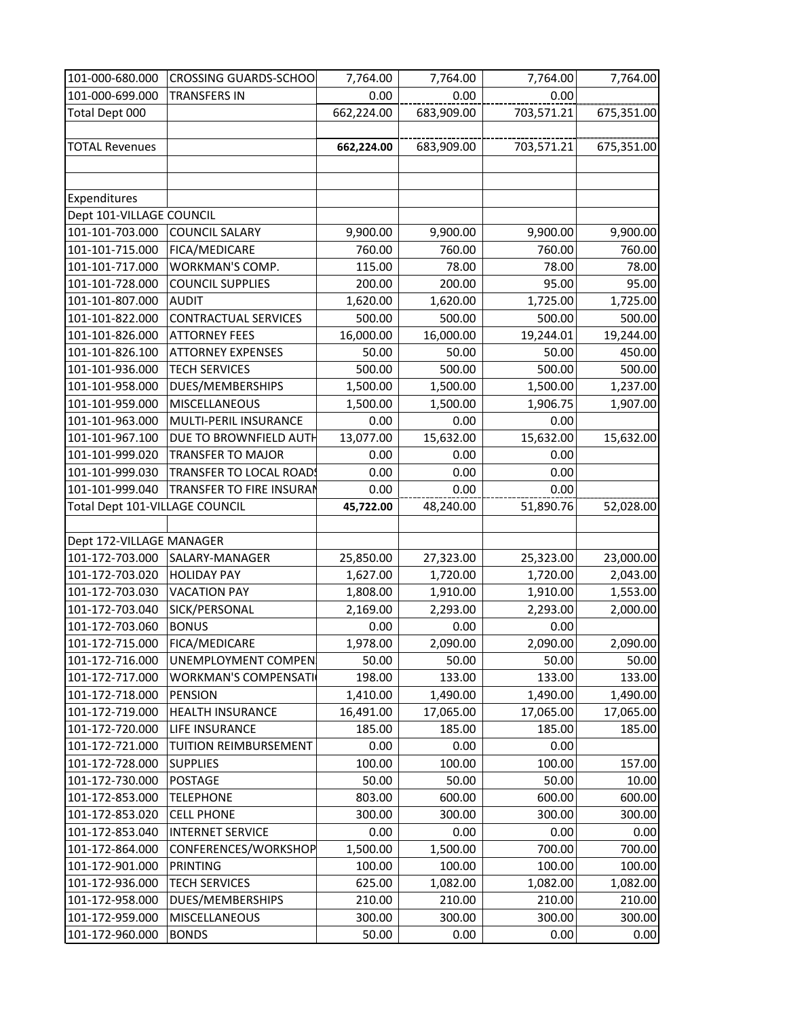| 101-000-680.000                | <b>CROSSING GUARDS-SCHOO</b>    | 7,764.00   | 7,764.00   | 7,764.00   | 7,764.00   |
|--------------------------------|---------------------------------|------------|------------|------------|------------|
| 101-000-699.000                | <b>TRANSFERS IN</b>             | 0.00       | 0.00       | 0.00       |            |
| Total Dept 000                 |                                 | 662,224.00 | 683,909.00 | 703,571.21 | 675,351.00 |
|                                |                                 |            |            |            |            |
| <b>TOTAL Revenues</b>          |                                 | 662,224.00 | 683,909.00 | 703,571.21 | 675,351.00 |
|                                |                                 |            |            |            |            |
|                                |                                 |            |            |            |            |
| Expenditures                   |                                 |            |            |            |            |
| Dept 101-VILLAGE COUNCIL       |                                 |            |            |            |            |
| 101-101-703.000                | <b>COUNCIL SALARY</b>           | 9,900.00   | 9,900.00   | 9,900.00   | 9,900.00   |
| 101-101-715.000                | FICA/MEDICARE                   | 760.00     | 760.00     | 760.00     | 760.00     |
| 101-101-717.000                | WORKMAN'S COMP.                 | 115.00     | 78.00      | 78.00      | 78.00      |
| 101-101-728.000                | <b>COUNCIL SUPPLIES</b>         | 200.00     | 200.00     | 95.00      | 95.00      |
| 101-101-807.000                | <b>AUDIT</b>                    | 1,620.00   | 1,620.00   | 1,725.00   | 1,725.00   |
| 101-101-822.000                | <b>CONTRACTUAL SERVICES</b>     | 500.00     | 500.00     | 500.00     | 500.00     |
| 101-101-826.000                | <b>ATTORNEY FEES</b>            | 16,000.00  | 16,000.00  | 19,244.01  | 19,244.00  |
| 101-101-826.100                | <b>ATTORNEY EXPENSES</b>        | 50.00      | 50.00      | 50.00      | 450.00     |
| 101-101-936.000                | <b>TECH SERVICES</b>            | 500.00     | 500.00     | 500.00     | 500.00     |
| 101-101-958.000                | DUES/MEMBERSHIPS                | 1,500.00   | 1,500.00   | 1,500.00   | 1,237.00   |
| 101-101-959.000                | <b>MISCELLANEOUS</b>            | 1,500.00   | 1,500.00   | 1,906.75   | 1,907.00   |
| 101-101-963.000                | MULTI-PERIL INSURANCE           | 0.00       | 0.00       | 0.00       |            |
| 101-101-967.100                | DUE TO BROWNFIELD AUTH          | 13,077.00  | 15,632.00  | 15,632.00  | 15,632.00  |
| 101-101-999.020                | <b>TRANSFER TO MAJOR</b>        | 0.00       | 0.00       | 0.00       |            |
| 101-101-999.030                | <b>TRANSFER TO LOCAL ROADS</b>  | 0.00       | 0.00       | 0.00       |            |
| 101-101-999.040                | <b>TRANSFER TO FIRE INSURAN</b> | 0.00       | 0.00       | 0.00       |            |
| Total Dept 101-VILLAGE COUNCIL |                                 | 45,722.00  | 48,240.00  | 51,890.76  | 52,028.00  |
|                                |                                 |            |            |            |            |
| Dept 172-VILLAGE MANAGER       |                                 |            |            |            |            |
|                                | 101-172-703.000 SALARY-MANAGER  | 25,850.00  | 27,323.00  | 25,323.00  | 23,000.00  |
| 101-172-703.020                | <b>HOLIDAY PAY</b>              | 1,627.00   | 1,720.00   | 1,720.00   | 2,043.00   |
| 101-172-703.030                | <b>VACATION PAY</b>             | 1,808.00   | 1,910.00   | 1,910.00   | 1,553.00   |
| 101-172-703.040                | SICK/PERSONAL                   | 2,169.00   | 2,293.00   | 2,293.00   | 2,000.00   |
| 101-172-703.060                | <b>BONUS</b>                    | 0.00       | 0.00       | 0.00       |            |
| 101-172-715.000                | FICA/MEDICARE                   | 1,978.00   | 2,090.00   | 2,090.00   | 2,090.00   |
| 101-172-716.000                | <b>UNEMPLOYMENT COMPEN</b>      | 50.00      | 50.00      | 50.00      | 50.00      |
| 101-172-717.000                | <b>WORKMAN'S COMPENSATI</b>     | 198.00     | 133.00     | 133.00     | 133.00     |
| 101-172-718.000                | <b>PENSION</b>                  | 1,410.00   | 1,490.00   | 1,490.00   | 1,490.00   |
| 101-172-719.000                | <b>HEALTH INSURANCE</b>         | 16,491.00  | 17,065.00  | 17,065.00  | 17,065.00  |
| 101-172-720.000                | LIFE INSURANCE                  | 185.00     | 185.00     | 185.00     | 185.00     |
| 101-172-721.000                | <b>TUITION REIMBURSEMENT</b>    | 0.00       | 0.00       | 0.00       |            |
| 101-172-728.000                | <b>SUPPLIES</b>                 | 100.00     | 100.00     | 100.00     | 157.00     |
| 101-172-730.000                | <b>POSTAGE</b>                  | 50.00      | 50.00      | 50.00      | 10.00      |
| 101-172-853.000                | <b>TELEPHONE</b>                | 803.00     | 600.00     | 600.00     | 600.00     |
| 101-172-853.020                | <b>CELL PHONE</b>               | 300.00     | 300.00     | 300.00     | 300.00     |
| 101-172-853.040                | <b>INTERNET SERVICE</b>         | 0.00       | 0.00       | 0.00       | 0.00       |
| 101-172-864.000                | CONFERENCES/WORKSHOP            | 1,500.00   | 1,500.00   | 700.00     | 700.00     |
| 101-172-901.000                | <b>PRINTING</b>                 | 100.00     | 100.00     | 100.00     | 100.00     |
| 101-172-936.000                | <b>TECH SERVICES</b>            | 625.00     | 1,082.00   | 1,082.00   | 1,082.00   |
| 101-172-958.000                | DUES/MEMBERSHIPS                | 210.00     | 210.00     | 210.00     | 210.00     |
| 101-172-959.000                | <b>MISCELLANEOUS</b>            | 300.00     | 300.00     | 300.00     | 300.00     |
| 101-172-960.000                | <b>BONDS</b>                    | 50.00      | 0.00       | 0.00       | 0.00       |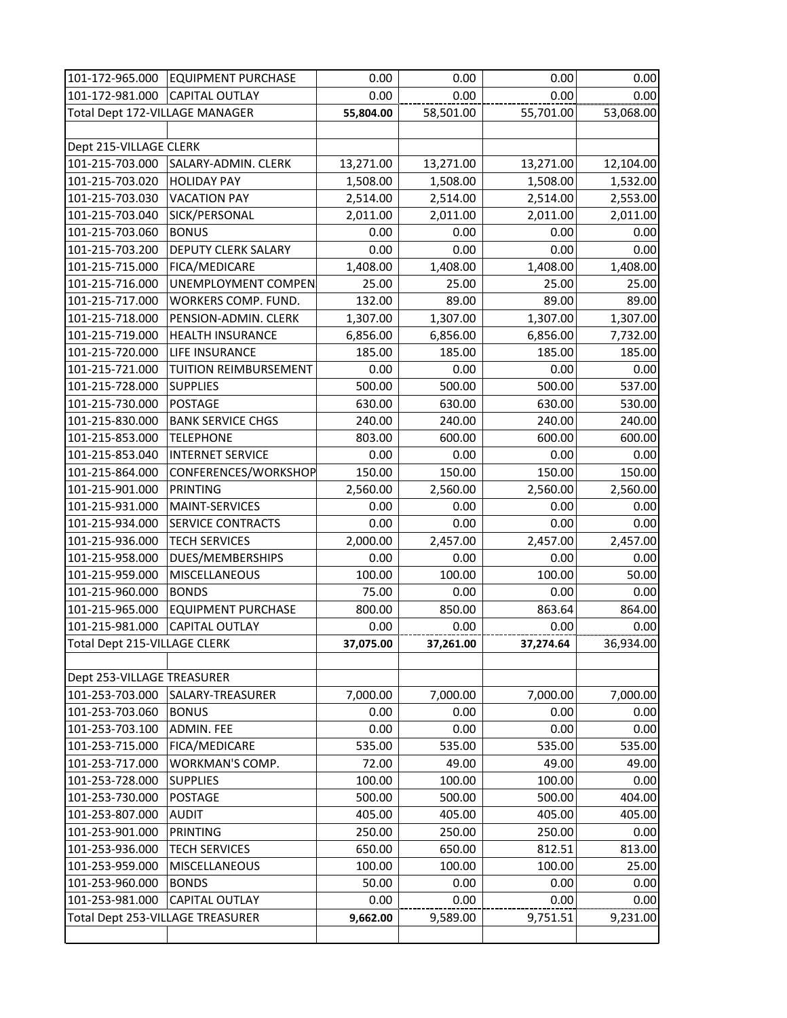| 101-172-965.000                  | <b>EQUIPMENT PURCHASE</b>  | 0.00      | 0.00      | 0.00      | 0.00      |
|----------------------------------|----------------------------|-----------|-----------|-----------|-----------|
| 101-172-981.000                  | <b>CAPITAL OUTLAY</b>      | 0.00      | 0.00      | 0.00      | 0.00      |
| Total Dept 172-VILLAGE MANAGER   |                            | 55,804.00 | 58,501.00 | 55,701.00 | 53,068.00 |
|                                  |                            |           |           |           |           |
| Dept 215-VILLAGE CLERK           |                            |           |           |           |           |
| 101-215-703.000                  | SALARY-ADMIN. CLERK        | 13,271.00 | 13,271.00 | 13,271.00 | 12,104.00 |
| 101-215-703.020                  | <b>HOLIDAY PAY</b>         | 1,508.00  | 1,508.00  | 1,508.00  | 1,532.00  |
| 101-215-703.030                  | <b>VACATION PAY</b>        | 2,514.00  | 2,514.00  | 2,514.00  | 2,553.00  |
| 101-215-703.040                  | SICK/PERSONAL              | 2,011.00  | 2,011.00  | 2,011.00  | 2,011.00  |
| 101-215-703.060                  | <b>BONUS</b>               | 0.00      | 0.00      | 0.00      | 0.00      |
| 101-215-703.200                  | <b>DEPUTY CLERK SALARY</b> | 0.00      | 0.00      | 0.00      | 0.00      |
| 101-215-715.000                  | FICA/MEDICARE              | 1,408.00  | 1,408.00  | 1,408.00  | 1,408.00  |
| 101-215-716.000                  | UNEMPLOYMENT COMPEN        | 25.00     | 25.00     | 25.00     | 25.00     |
| 101-215-717.000                  | WORKERS COMP. FUND.        | 132.00    | 89.00     | 89.00     | 89.00     |
| 101-215-718.000                  | PENSION-ADMIN. CLERK       | 1,307.00  | 1,307.00  | 1,307.00  | 1,307.00  |
| 101-215-719.000                  | <b>HEALTH INSURANCE</b>    | 6,856.00  | 6,856.00  | 6,856.00  | 7,732.00  |
| 101-215-720.000                  | <b>LIFE INSURANCE</b>      | 185.00    | 185.00    | 185.00    | 185.00    |
| 101-215-721.000                  | TUITION REIMBURSEMENT      | 0.00      | 0.00      | 0.00      | 0.00      |
| 101-215-728.000                  | <b>SUPPLIES</b>            | 500.00    | 500.00    | 500.00    | 537.00    |
| 101-215-730.000                  | <b>POSTAGE</b>             | 630.00    | 630.00    | 630.00    | 530.00    |
| 101-215-830.000                  | <b>BANK SERVICE CHGS</b>   | 240.00    | 240.00    | 240.00    | 240.00    |
| 101-215-853.000                  | <b>TELEPHONE</b>           | 803.00    | 600.00    | 600.00    | 600.00    |
| 101-215-853.040                  | <b>INTERNET SERVICE</b>    | 0.00      | 0.00      | 0.00      | 0.00      |
| 101-215-864.000                  | CONFERENCES/WORKSHOP       | 150.00    | 150.00    | 150.00    | 150.00    |
| 101-215-901.000                  | <b>PRINTING</b>            | 2,560.00  | 2,560.00  | 2,560.00  | 2,560.00  |
| 101-215-931.000                  | <b>MAINT-SERVICES</b>      | 0.00      | 0.00      | 0.00      | 0.00      |
| 101-215-934.000                  | SERVICE CONTRACTS          | 0.00      | 0.00      | 0.00      | 0.00      |
| 101-215-936.000                  | <b>TECH SERVICES</b>       | 2,000.00  | 2,457.00  | 2,457.00  | 2,457.00  |
| 101-215-958.000                  | DUES/MEMBERSHIPS           | 0.00      | 0.00      | 0.00      | 0.00      |
| 101-215-959.000                  | <b>MISCELLANEOUS</b>       | 100.00    | 100.00    | 100.00    | 50.00     |
| 101-215-960.000                  | <b>BONDS</b>               | 75.00     | 0.00      | 0.00      | 0.00      |
| 101-215-965.000                  | <b>EQUIPMENT PURCHASE</b>  | 800.00    | 850.00    | 863.64    | 864.00    |
| 101-215-981.000                  | <b>CAPITAL OUTLAY</b>      | 0.00      | 0.00      | 0.00      | 0.00      |
| Total Dept 215-VILLAGE CLERK     |                            | 37,075.00 | 37,261.00 | 37,274.64 | 36,934.00 |
|                                  |                            |           |           |           |           |
| Dept 253-VILLAGE TREASURER       |                            |           |           |           |           |
| 101-253-703.000                  | SALARY-TREASURER           | 7,000.00  | 7,000.00  | 7,000.00  | 7,000.00  |
| 101-253-703.060                  | <b>BONUS</b>               | 0.00      | 0.00      | 0.00      | 0.00      |
| 101-253-703.100                  | <b>ADMIN. FEE</b>          | 0.00      | 0.00      | 0.00      | 0.00      |
| 101-253-715.000                  | FICA/MEDICARE              | 535.00    | 535.00    | 535.00    | 535.00    |
| 101-253-717.000                  | <b>WORKMAN'S COMP.</b>     | 72.00     | 49.00     | 49.00     | 49.00     |
| 101-253-728.000                  | <b>SUPPLIES</b>            | 100.00    | 100.00    | 100.00    | 0.00      |
| 101-253-730.000                  | <b>POSTAGE</b>             | 500.00    | 500.00    | 500.00    | 404.00    |
| 101-253-807.000                  | <b>AUDIT</b>               | 405.00    | 405.00    | 405.00    | 405.00    |
| 101-253-901.000                  | <b>PRINTING</b>            | 250.00    | 250.00    | 250.00    | 0.00      |
| 101-253-936.000                  | <b>TECH SERVICES</b>       | 650.00    | 650.00    | 812.51    | 813.00    |
| 101-253-959.000                  | <b>MISCELLANEOUS</b>       | 100.00    | 100.00    | 100.00    | 25.00     |
| 101-253-960.000                  | <b>BONDS</b>               | 50.00     | 0.00      | 0.00      | 0.00      |
| 101-253-981.000                  | <b>CAPITAL OUTLAY</b>      | 0.00      | 0.00      | 0.00      | 0.00      |
| Total Dept 253-VILLAGE TREASURER |                            | 9,662.00  | 9,589.00  | 9,751.51  | 9,231.00  |
|                                  |                            |           |           |           |           |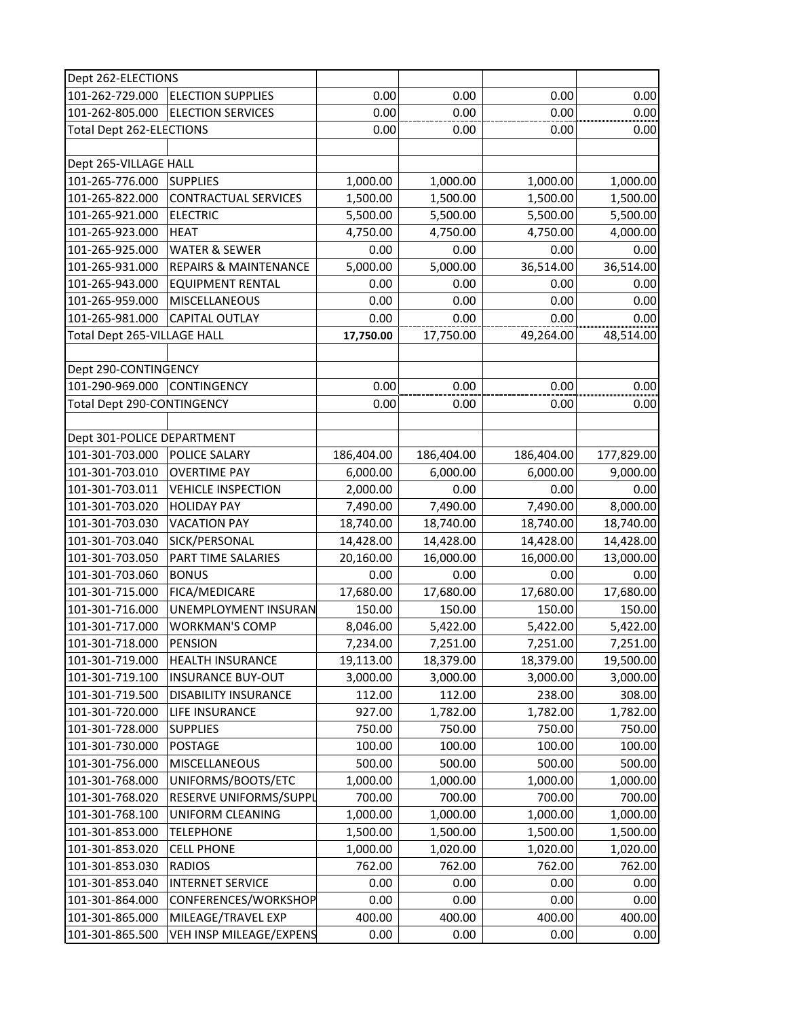| Dept 262-ELECTIONS                |                                  |            |            |            |            |
|-----------------------------------|----------------------------------|------------|------------|------------|------------|
| 101-262-729.000                   | <b>ELECTION SUPPLIES</b>         | 0.00       | 0.00       | 0.00       | 0.00       |
| 101-262-805.000                   | <b>ELECTION SERVICES</b>         | 0.00       | 0.00       | 0.00       | 0.00       |
| Total Dept 262-ELECTIONS          |                                  | 0.00       | 0.00       | 0.00       | 0.00       |
|                                   |                                  |            |            |            |            |
| Dept 265-VILLAGE HALL             |                                  |            |            |            |            |
| 101-265-776.000                   | <b>SUPPLIES</b>                  | 1,000.00   | 1,000.00   | 1,000.00   | 1,000.00   |
| 101-265-822.000                   | <b>CONTRACTUAL SERVICES</b>      | 1,500.00   | 1,500.00   | 1,500.00   | 1,500.00   |
| 101-265-921.000                   | <b>ELECTRIC</b>                  | 5,500.00   | 5,500.00   | 5,500.00   | 5,500.00   |
| 101-265-923.000                   | <b>HEAT</b>                      | 4,750.00   | 4,750.00   | 4,750.00   | 4,000.00   |
| 101-265-925.000                   | <b>WATER &amp; SEWER</b>         | 0.00       | 0.00       | 0.00       | 0.00       |
| 101-265-931.000                   | <b>REPAIRS &amp; MAINTENANCE</b> | 5,000.00   | 5,000.00   | 36,514.00  | 36,514.00  |
| 101-265-943.000                   | <b>EQUIPMENT RENTAL</b>          | 0.00       | 0.00       | 0.00       | 0.00       |
| 101-265-959.000                   | <b>MISCELLANEOUS</b>             | 0.00       | 0.00       | 0.00       | 0.00       |
| 101-265-981.000                   | <b>CAPITAL OUTLAY</b>            | 0.00       | 0.00       | 0.00       | 0.00       |
| Total Dept 265-VILLAGE HALL       |                                  | 17,750.00  | 17,750.00  | 49,264.00  | 48,514.00  |
|                                   |                                  |            |            |            |            |
| Dept 290-CONTINGENCY              |                                  |            |            |            |            |
| 101-290-969.000                   | CONTINGENCY                      | 0.00       | 0.00       | 0.00       | 0.00       |
| <b>Total Dept 290-CONTINGENCY</b> |                                  | 0.00       | 0.00       | 0.00       | 0.00       |
|                                   |                                  |            |            |            |            |
| Dept 301-POLICE DEPARTMENT        |                                  |            |            |            |            |
| 101-301-703.000                   | <b>POLICE SALARY</b>             | 186,404.00 | 186,404.00 | 186,404.00 | 177,829.00 |
| 101-301-703.010                   | <b>OVERTIME PAY</b>              | 6,000.00   | 6,000.00   | 6,000.00   | 9,000.00   |
| 101-301-703.011                   | <b>VEHICLE INSPECTION</b>        | 2,000.00   | 0.00       | 0.00       | 0.00       |
| 101-301-703.020                   | <b>HOLIDAY PAY</b>               | 7,490.00   | 7,490.00   | 7,490.00   | 8,000.00   |
| 101-301-703.030                   | <b>VACATION PAY</b>              | 18,740.00  | 18,740.00  | 18,740.00  | 18,740.00  |
| 101-301-703.040                   | SICK/PERSONAL                    | 14,428.00  | 14,428.00  | 14,428.00  | 14,428.00  |
| 101-301-703.050                   | PART TIME SALARIES               | 20,160.00  | 16,000.00  | 16,000.00  | 13,000.00  |
| 101-301-703.060                   | <b>BONUS</b>                     | 0.00       | 0.00       | 0.00       | 0.00       |
| 101-301-715.000                   | <b>FICA/MEDICARE</b>             | 17,680.00  | 17,680.00  | 17,680.00  | 17,680.00  |
| 101-301-716.000                   | <b>UNEMPLOYMENT INSURAN</b>      | 150.00     | 150.00     | 150.00     | 150.00     |
| 101-301-717.000                   | <b>WORKMAN'S COMP</b>            | 8,046.00   | 5,422.00   | 5,422.00   | 5,422.00   |
| 101-301-718.000                   | <b>PENSION</b>                   | 7,234.00   | 7,251.00   | 7,251.00   | 7,251.00   |
| 101-301-719.000                   | <b>HEALTH INSURANCE</b>          | 19,113.00  | 18,379.00  | 18,379.00  | 19,500.00  |
| 101-301-719.100                   | <b>INSURANCE BUY-OUT</b>         | 3,000.00   | 3,000.00   | 3,000.00   | 3,000.00   |
| 101-301-719.500                   | <b>DISABILITY INSURANCE</b>      | 112.00     | 112.00     | 238.00     | 308.00     |
| 101-301-720.000                   | <b>LIFE INSURANCE</b>            | 927.00     | 1,782.00   | 1,782.00   | 1,782.00   |
| 101-301-728.000                   | <b>SUPPLIES</b>                  | 750.00     | 750.00     | 750.00     | 750.00     |
| 101-301-730.000                   | <b>POSTAGE</b>                   | 100.00     | 100.00     | 100.00     | 100.00     |
| 101-301-756.000                   | <b>MISCELLANEOUS</b>             | 500.00     | 500.00     | 500.00     | 500.00     |
| 101-301-768.000                   | UNIFORMS/BOOTS/ETC               | 1,000.00   | 1,000.00   | 1,000.00   | 1,000.00   |
| 101-301-768.020                   | RESERVE UNIFORMS/SUPPL           | 700.00     | 700.00     | 700.00     | 700.00     |
| 101-301-768.100                   | <b>UNIFORM CLEANING</b>          | 1,000.00   | 1,000.00   | 1,000.00   | 1,000.00   |
| 101-301-853.000                   | <b>TELEPHONE</b>                 | 1,500.00   | 1,500.00   | 1,500.00   | 1,500.00   |
| 101-301-853.020                   | <b>CELL PHONE</b>                | 1,000.00   | 1,020.00   | 1,020.00   | 1,020.00   |
| 101-301-853.030                   | <b>RADIOS</b>                    | 762.00     | 762.00     | 762.00     | 762.00     |
| 101-301-853.040                   | <b>INTERNET SERVICE</b>          | 0.00       | 0.00       | 0.00       | 0.00       |
| 101-301-864.000                   | CONFERENCES/WORKSHOP             | 0.00       | 0.00       | 0.00       | 0.00       |
| 101-301-865.000                   | MILEAGE/TRAVEL EXP               | 400.00     | 400.00     | 400.00     | 400.00     |
| 101-301-865.500                   | VEH INSP MILEAGE/EXPENS          | 0.00       | 0.00       | 0.00       | 0.00       |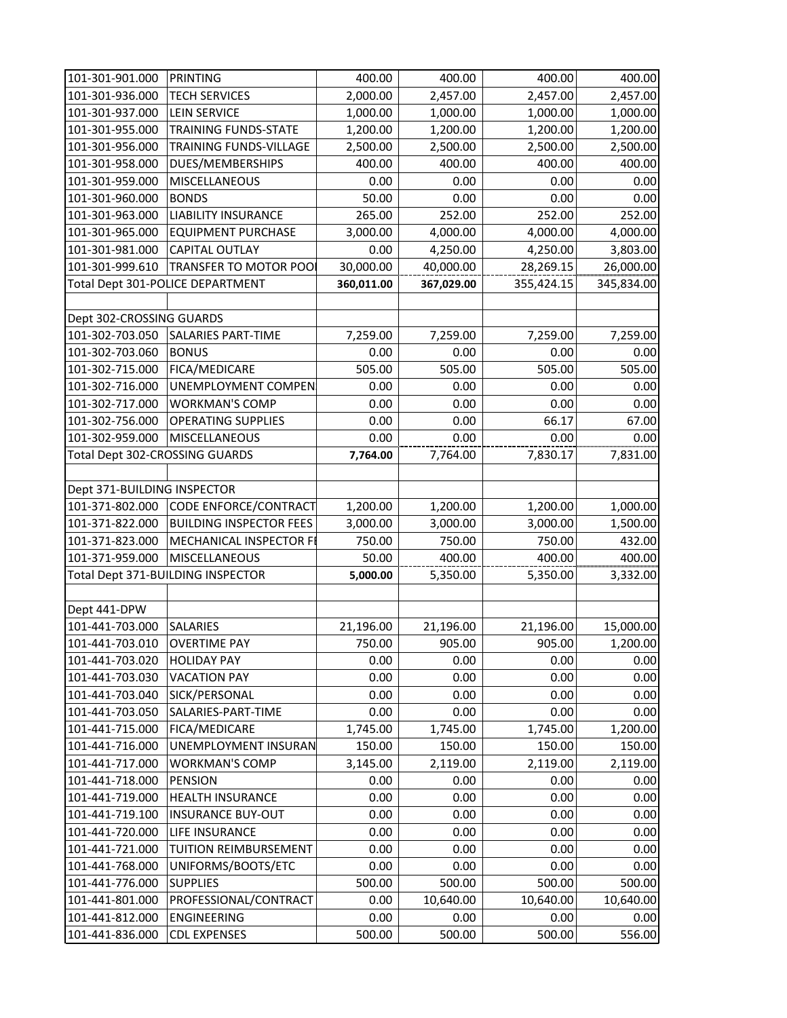| 101-301-901.000                | PRINTING                          | 400.00     | 400.00     |            | 400.00     |
|--------------------------------|-----------------------------------|------------|------------|------------|------------|
|                                |                                   |            |            | 400.00     |            |
| 101-301-936.000                | <b>TECH SERVICES</b>              | 2,000.00   | 2,457.00   | 2,457.00   | 2,457.00   |
| 101-301-937.000                | <b>LEIN SERVICE</b>               | 1,000.00   | 1,000.00   | 1,000.00   | 1,000.00   |
| 101-301-955.000                | <b>TRAINING FUNDS-STATE</b>       | 1,200.00   | 1,200.00   | 1,200.00   | 1,200.00   |
| 101-301-956.000                | TRAINING FUNDS-VILLAGE            | 2,500.00   | 2,500.00   | 2,500.00   | 2,500.00   |
| 101-301-958.000                | DUES/MEMBERSHIPS                  | 400.00     | 400.00     | 400.00     | 400.00     |
| 101-301-959.000                | <b>MISCELLANEOUS</b>              | 0.00       | 0.00       | 0.00       | 0.00       |
| 101-301-960.000                | <b>BONDS</b>                      | 50.00      | 0.00       | 0.00       | 0.00       |
| 101-301-963.000                | <b>LIABILITY INSURANCE</b>        | 265.00     | 252.00     | 252.00     | 252.00     |
| 101-301-965.000                | <b>EQUIPMENT PURCHASE</b>         | 3,000.00   | 4,000.00   | 4,000.00   | 4,000.00   |
| 101-301-981.000                | <b>CAPITAL OUTLAY</b>             | 0.00       | 4,250.00   | 4,250.00   | 3,803.00   |
| 101-301-999.610                | <b>TRANSFER TO MOTOR POOL</b>     | 30,000.00  | 40,000.00  | 28,269.15  | 26,000.00  |
|                                | Total Dept 301-POLICE DEPARTMENT  | 360,011.00 | 367,029.00 | 355,424.15 | 345,834.00 |
|                                |                                   |            |            |            |            |
| Dept 302-CROSSING GUARDS       |                                   |            |            |            |            |
| 101-302-703.050                | <b>SALARIES PART-TIME</b>         | 7,259.00   | 7,259.00   | 7,259.00   | 7,259.00   |
| 101-302-703.060                | <b>BONUS</b>                      | 0.00       | 0.00       | 0.00       | 0.00       |
| 101-302-715.000                | FICA/MEDICARE                     | 505.00     | 505.00     | 505.00     | 505.00     |
| 101-302-716.000                | <b>UNEMPLOYMENT COMPEN</b>        | 0.00       | 0.00       | 0.00       | 0.00       |
| 101-302-717.000                | <b>WORKMAN'S COMP</b>             | 0.00       | 0.00       | 0.00       | 0.00       |
| 101-302-756.000                | <b>OPERATING SUPPLIES</b>         | 0.00       | 0.00       | 66.17      | 67.00      |
| 101-302-959.000                | <b>MISCELLANEOUS</b>              | 0.00       | 0.00       | 0.00       | 0.00       |
| Total Dept 302-CROSSING GUARDS |                                   | 7,764.00   | 7,764.00   | 7,830.17   | 7,831.00   |
|                                |                                   |            |            |            |            |
| Dept 371-BUILDING INSPECTOR    |                                   |            |            |            |            |
| 101-371-802.000                | CODE ENFORCE/CONTRACT             | 1,200.00   | 1,200.00   | 1,200.00   | 1,000.00   |
| 101-371-822.000                | <b>BUILDING INSPECTOR FEES</b>    | 3,000.00   | 3,000.00   | 3,000.00   | 1,500.00   |
| 101-371-823.000                | <b>MECHANICAL INSPECTOR FI</b>    | 750.00     | 750.00     | 750.00     | 432.00     |
| 101-371-959.000 MISCELLANEOUS  |                                   | 50.00      | 400.00     | 400.00     | 400.00     |
|                                | Total Dept 371-BUILDING INSPECTOR | 5,000.00   | 5,350.00   | 5,350.00   | 3,332.00   |
|                                |                                   |            |            |            |            |
| Dept 441-DPW                   |                                   |            |            |            |            |
| 101-441-703.000                | <b>SALARIES</b>                   | 21,196.00  | 21,196.00  | 21,196.00  | 15,000.00  |
| 101-441-703.010                | <b>OVERTIME PAY</b>               | 750.00     | 905.00     | 905.00     | 1,200.00   |
| 101-441-703.020                | <b>HOLIDAY PAY</b>                | 0.00       | 0.00       | 0.00       | 0.00       |
| 101-441-703.030                | <b>VACATION PAY</b>               | 0.00       | 0.00       | 0.00       | 0.00       |
| 101-441-703.040                | SICK/PERSONAL                     | 0.00       | 0.00       | 0.00       | 0.00       |
| 101-441-703.050                | SALARIES-PART-TIME                | 0.00       | 0.00       | 0.00       | 0.00       |
| 101-441-715.000                | FICA/MEDICARE                     | 1,745.00   |            | 1,745.00   |            |
| 101-441-716.000                | <b>UNEMPLOYMENT INSURAN</b>       |            | 1,745.00   |            | 1,200.00   |
|                                |                                   | 150.00     | 150.00     | 150.00     | 150.00     |
| 101-441-717.000                | <b>WORKMAN'S COMP</b>             | 3,145.00   | 2,119.00   | 2,119.00   | 2,119.00   |
| 101-441-718.000                | <b>PENSION</b>                    | 0.00       | 0.00       | 0.00       | 0.00       |
| 101-441-719.000                | <b>HEALTH INSURANCE</b>           | 0.00       | 0.00       | 0.00       | 0.00       |
| 101-441-719.100                | <b>INSURANCE BUY-OUT</b>          | 0.00       | 0.00       | 0.00       | 0.00       |
| 101-441-720.000                | <b>LIFE INSURANCE</b>             | 0.00       | 0.00       | 0.00       | 0.00       |
| 101-441-721.000                | <b>TUITION REIMBURSEMENT</b>      | 0.00       | 0.00       | 0.00       | 0.00       |
| 101-441-768.000                | UNIFORMS/BOOTS/ETC                | 0.00       | 0.00       | 0.00       | 0.00       |
| 101-441-776.000                | <b>SUPPLIES</b>                   | 500.00     | 500.00     | 500.00     | 500.00     |
| 101-441-801.000                | PROFESSIONAL/CONTRACT             | 0.00       | 10,640.00  | 10,640.00  | 10,640.00  |
| 101-441-812.000                | <b>ENGINEERING</b>                | 0.00       | 0.00       | 0.00       | 0.00       |
| 101-441-836.000                | <b>CDL EXPENSES</b>               | 500.00     | 500.00     | 500.00     | 556.00     |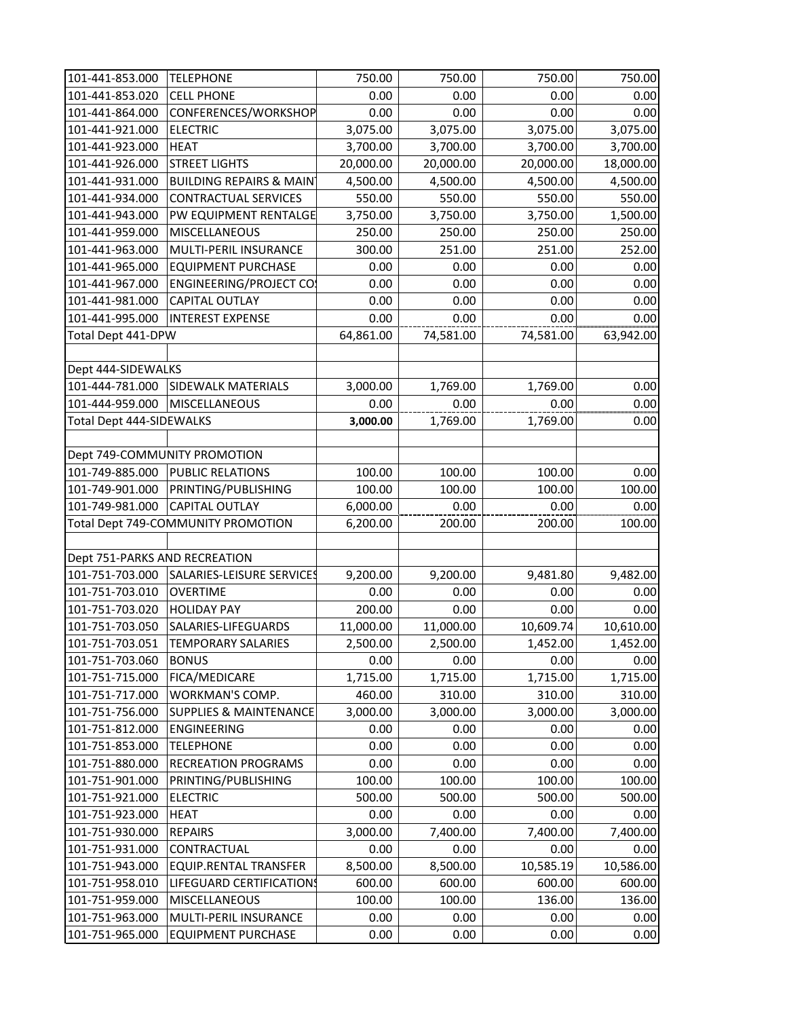| 101-441-853.000                 | <b>TELEPHONE</b>                   | 750.00    | 750.00    | 750.00    | 750.00    |
|---------------------------------|------------------------------------|-----------|-----------|-----------|-----------|
| 101-441-853.020                 | <b>CELL PHONE</b>                  | 0.00      | 0.00      | 0.00      | 0.00      |
| 101-441-864.000                 | CONFERENCES/WORKSHOP               | 0.00      | 0.00      | 0.00      | 0.00      |
| 101-441-921.000                 | <b>ELECTRIC</b>                    | 3,075.00  | 3,075.00  | 3,075.00  | 3,075.00  |
| 101-441-923.000                 | <b>HEAT</b>                        | 3,700.00  | 3,700.00  | 3,700.00  | 3,700.00  |
| 101-441-926.000                 | <b>STREET LIGHTS</b>               | 20,000.00 | 20,000.00 | 20,000.00 | 18,000.00 |
| 101-441-931.000                 | <b>BUILDING REPAIRS &amp; MAIN</b> | 4,500.00  | 4,500.00  | 4,500.00  | 4,500.00  |
| 101-441-934.000                 | <b>CONTRACTUAL SERVICES</b>        | 550.00    | 550.00    | 550.00    | 550.00    |
| 101-441-943.000                 | PW EQUIPMENT RENTALGE              | 3,750.00  | 3,750.00  | 3,750.00  | 1,500.00  |
| 101-441-959.000                 | <b>MISCELLANEOUS</b>               | 250.00    | 250.00    | 250.00    | 250.00    |
| 101-441-963.000                 | MULTI-PERIL INSURANCE              | 300.00    | 251.00    | 251.00    | 252.00    |
| 101-441-965.000                 | <b>EQUIPMENT PURCHASE</b>          | 0.00      | 0.00      | 0.00      | 0.00      |
| 101-441-967.000                 | <b>ENGINEERING/PROJECT CO:</b>     | 0.00      | 0.00      | 0.00      | 0.00      |
| 101-441-981.000                 | <b>CAPITAL OUTLAY</b>              | 0.00      | 0.00      | 0.00      | 0.00      |
| 101-441-995.000                 | <b>INTEREST EXPENSE</b>            | 0.00      | 0.00      | 0.00      | 0.00      |
| Total Dept 441-DPW              |                                    | 64,861.00 | 74,581.00 | 74,581.00 | 63,942.00 |
|                                 |                                    |           |           |           |           |
| Dept 444-SIDEWALKS              |                                    |           |           |           |           |
| 101-444-781.000                 | <b>SIDEWALK MATERIALS</b>          | 3,000.00  | 1,769.00  | 1,769.00  | 0.00      |
| 101-444-959.000                 | <b>MISCELLANEOUS</b>               | 0.00      | 0.00      | 0.00      | 0.00      |
| <b>Total Dept 444-SIDEWALKS</b> |                                    | 3,000.00  | 1,769.00  | 1,769.00  | 0.00      |
|                                 |                                    |           |           |           |           |
|                                 | Dept 749-COMMUNITY PROMOTION       |           |           |           |           |
| 101-749-885.000                 | <b>PUBLIC RELATIONS</b>            | 100.00    | 100.00    | 100.00    | 0.00      |
| 101-749-901.000                 | PRINTING/PUBLISHING                | 100.00    | 100.00    | 100.00    | 100.00    |
| 101-749-981.000                 | <b>CAPITAL OUTLAY</b>              | 6,000.00  | 0.00      | 0.00      | 0.00      |
|                                 | Total Dept 749-COMMUNITY PROMOTION | 6,200.00  | 200.00    | 200.00    | 100.00    |
|                                 |                                    |           |           |           |           |
| Dept 751-PARKS AND RECREATION   |                                    |           |           |           |           |
| 101-751-703.000                 | SALARIES-LEISURE SERVICES          | 9,200.00  | 9,200.00  | 9,481.80  | 9,482.00  |
| 101-751-703.010                 | <b>OVERTIME</b>                    | 0.00      | 0.00      | 0.00      | 0.00      |
| 101-751-703.020                 | <b>HOLIDAY PAY</b>                 | 200.00    | 0.00      | 0.00      | 0.00      |
| 101-751-703.050                 | SALARIES-LIFEGUARDS                | 11,000.00 | 11,000.00 | 10,609.74 | 10,610.00 |
| 101-751-703.051                 | <b>TEMPORARY SALARIES</b>          | 2,500.00  | 2,500.00  | 1,452.00  | 1,452.00  |
| 101-751-703.060                 | <b>BONUS</b>                       | 0.00      | 0.00      | 0.00      | 0.00      |
| 101-751-715.000                 | <b>FICA/MEDICARE</b>               | 1,715.00  | 1,715.00  | 1,715.00  | 1,715.00  |
| 101-751-717.000                 | <b>WORKMAN'S COMP.</b>             | 460.00    | 310.00    | 310.00    | 310.00    |
| 101-751-756.000                 | <b>SUPPLIES &amp; MAINTENANCE</b>  | 3,000.00  | 3,000.00  | 3,000.00  | 3,000.00  |
| 101-751-812.000                 | <b>ENGINEERING</b>                 | 0.00      | 0.00      | 0.00      | 0.00      |
| 101-751-853.000                 | <b>TELEPHONE</b>                   | 0.00      | 0.00      | 0.00      | 0.00      |
| 101-751-880.000                 | <b>RECREATION PROGRAMS</b>         | 0.00      | 0.00      | 0.00      | 0.00      |
| 101-751-901.000                 | PRINTING/PUBLISHING                | 100.00    | 100.00    | 100.00    | 100.00    |
| 101-751-921.000                 | <b>ELECTRIC</b>                    | 500.00    | 500.00    | 500.00    | 500.00    |
| 101-751-923.000                 | <b>HEAT</b>                        | 0.00      | 0.00      | 0.00      | 0.00      |
| 101-751-930.000                 | <b>REPAIRS</b>                     | 3,000.00  | 7,400.00  | 7,400.00  | 7,400.00  |
| 101-751-931.000                 | CONTRACTUAL                        | 0.00      | 0.00      | 0.00      | 0.00      |
| 101-751-943.000                 | <b>EQUIP.RENTAL TRANSFER</b>       | 8,500.00  | 8,500.00  | 10,585.19 | 10,586.00 |
| 101-751-958.010                 | LIFEGUARD CERTIFICATIONS           | 600.00    | 600.00    | 600.00    | 600.00    |
| 101-751-959.000                 | <b>MISCELLANEOUS</b>               | 100.00    | 100.00    | 136.00    | 136.00    |
| 101-751-963.000                 | MULTI-PERIL INSURANCE              | 0.00      | 0.00      | 0.00      | 0.00      |
| 101-751-965.000                 | <b>EQUIPMENT PURCHASE</b>          | 0.00      | 0.00      | 0.00      | 0.00      |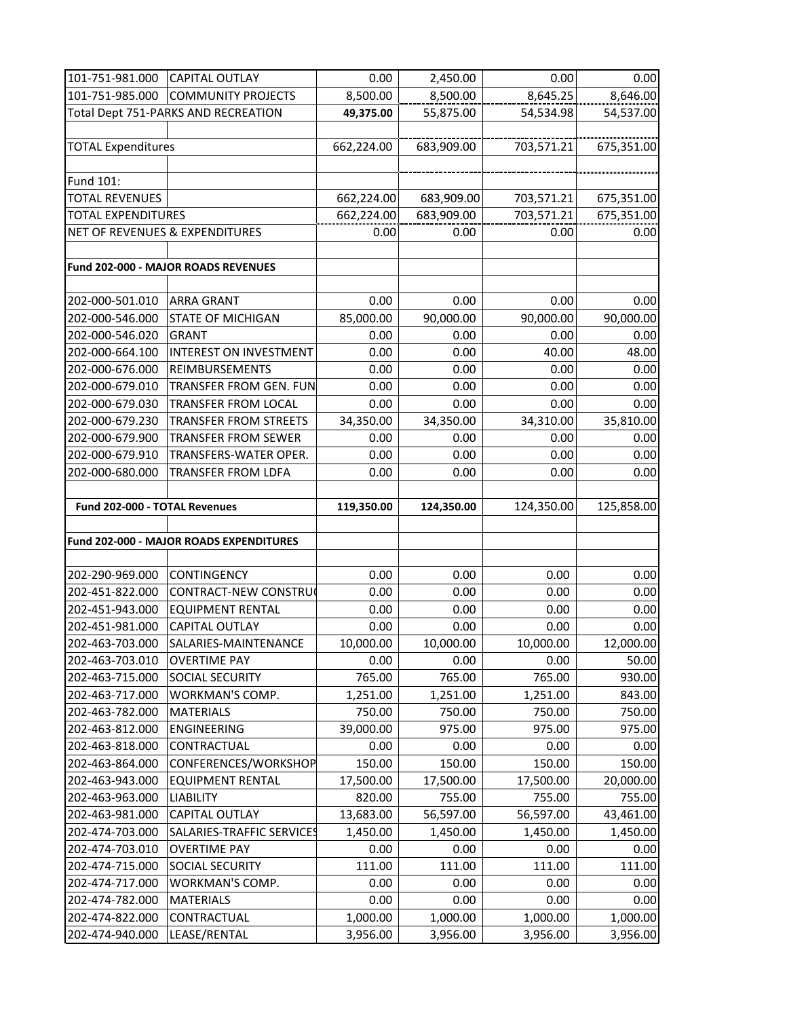| 101-751-981.000                | <b>CAPITAL OUTLAY</b>                   | 0.00       | 2,450.00   | 0.00       | 0.00       |
|--------------------------------|-----------------------------------------|------------|------------|------------|------------|
| 101-751-985.000                | <b>COMMUNITY PROJECTS</b>               | 8,500.00   | 8,500.00   | 8,645.25   | 8,646.00   |
|                                | Total Dept 751-PARKS AND RECREATION     | 49,375.00  | 55,875.00  | 54,534.98  | 54,537.00  |
|                                |                                         |            |            |            |            |
| <b>TOTAL Expenditures</b>      |                                         | 662,224.00 | 683,909.00 | 703,571.21 | 675,351.00 |
|                                |                                         |            |            |            |            |
| Fund 101:                      |                                         |            |            |            |            |
| <b>TOTAL REVENUES</b>          |                                         | 662,224.00 | 683,909.00 | 703,571.21 | 675,351.00 |
| <b>TOTAL EXPENDITURES</b>      |                                         | 662,224.00 | 683,909.00 | 703,571.21 | 675,351.00 |
| NET OF REVENUES & EXPENDITURES |                                         | 0.00       | 0.00       | 0.00       | 0.00       |
|                                |                                         |            |            |            |            |
|                                | Fund 202-000 - MAJOR ROADS REVENUES     |            |            |            |            |
|                                |                                         |            |            |            |            |
| 202-000-501.010                | <b>ARRA GRANT</b>                       | 0.00       | 0.00       | 0.00       | 0.00       |
| 202-000-546.000                | <b>STATE OF MICHIGAN</b>                | 85,000.00  | 90,000.00  | 90,000.00  | 90,000.00  |
| 202-000-546.020                | <b>GRANT</b>                            | 0.00       | 0.00       | 0.00       | 0.00       |
| 202-000-664.100                | <b>INTEREST ON INVESTMENT</b>           | 0.00       | 0.00       | 40.00      | 48.00      |
| 202-000-676.000                | REIMBURSEMENTS                          | 0.00       | 0.00       | 0.00       | 0.00       |
| 202-000-679.010                | TRANSFER FROM GEN. FUN                  | 0.00       | 0.00       | 0.00       | 0.00       |
| 202-000-679.030                | <b>TRANSFER FROM LOCAL</b>              | 0.00       | 0.00       | 0.00       | 0.00       |
| 202-000-679.230                | <b>TRANSFER FROM STREETS</b>            | 34,350.00  | 34,350.00  | 34,310.00  | 35,810.00  |
| 202-000-679.900                | <b>TRANSFER FROM SEWER</b>              | 0.00       | 0.00       | 0.00       | 0.00       |
| 202-000-679.910                | TRANSFERS-WATER OPER.                   | 0.00       | 0.00       | 0.00       | 0.00       |
| 202-000-680.000                | <b>TRANSFER FROM LDFA</b>               | 0.00       | 0.00       | 0.00       | 0.00       |
|                                |                                         |            |            |            |            |
| Fund 202-000 - TOTAL Revenues  |                                         | 119,350.00 | 124,350.00 | 124,350.00 | 125,858.00 |
|                                |                                         |            |            |            |            |
|                                | Fund 202-000 - MAJOR ROADS EXPENDITURES |            |            |            |            |
|                                |                                         |            |            |            |            |
| 202-290-969.000                | <b>CONTINGENCY</b>                      | 0.00       | 0.00       | 0.00       | 0.00       |
| 202-451-822.000                | CONTRACT-NEW CONSTRUC                   | 0.00       | 0.00       | 0.00       | 0.00       |
| 202-451-943.000                | <b>EQUIPMENT RENTAL</b>                 | 0.00       | 0.00       | 0.00       | 0.00       |
| 202-451-981.000                | <b>CAPITAL OUTLAY</b>                   | 0.00       | 0.00       | 0.00       | 0.00       |
| 202-463-703.000                | SALARIES-MAINTENANCE                    | 10,000.00  | 10,000.00  | 10,000.00  | 12,000.00  |
| 202-463-703.010                | <b>OVERTIME PAY</b>                     | 0.00       | 0.00       | 0.00       | 50.00      |
| 202-463-715.000                | <b>SOCIAL SECURITY</b>                  | 765.00     | 765.00     | 765.00     | 930.00     |
| 202-463-717.000                | <b>WORKMAN'S COMP.</b>                  | 1,251.00   | 1,251.00   | 1,251.00   | 843.00     |
| 202-463-782.000                | <b>MATERIALS</b>                        | 750.00     | 750.00     | 750.00     | 750.00     |
| 202-463-812.000                | <b>ENGINEERING</b>                      | 39,000.00  | 975.00     | 975.00     | 975.00     |
| 202-463-818.000                | CONTRACTUAL                             | 0.00       | 0.00       | 0.00       | 0.00       |
| 202-463-864.000                | CONFERENCES/WORKSHOP                    | 150.00     | 150.00     | 150.00     | 150.00     |
| 202-463-943.000                | <b>EQUIPMENT RENTAL</b>                 | 17,500.00  | 17,500.00  | 17,500.00  | 20,000.00  |
| 202-463-963.000                | <b>LIABILITY</b>                        | 820.00     | 755.00     | 755.00     | 755.00     |
| 202-463-981.000                | <b>CAPITAL OUTLAY</b>                   | 13,683.00  | 56,597.00  | 56,597.00  | 43,461.00  |
| 202-474-703.000                | SALARIES-TRAFFIC SERVICES               | 1,450.00   | 1,450.00   | 1,450.00   | 1,450.00   |
| 202-474-703.010                | <b>OVERTIME PAY</b>                     | 0.00       | 0.00       | 0.00       | 0.00       |
| 202-474-715.000                | <b>SOCIAL SECURITY</b>                  | 111.00     | 111.00     | 111.00     | 111.00     |
| 202-474-717.000                | <b>WORKMAN'S COMP.</b>                  | 0.00       | 0.00       | 0.00       | 0.00       |
| 202-474-782.000                | <b>MATERIALS</b>                        | 0.00       | 0.00       | 0.00       | 0.00       |
| 202-474-822.000                | CONTRACTUAL                             | 1,000.00   | 1,000.00   | 1,000.00   | 1,000.00   |
| 202-474-940.000                | LEASE/RENTAL                            | 3,956.00   | 3,956.00   | 3,956.00   | 3,956.00   |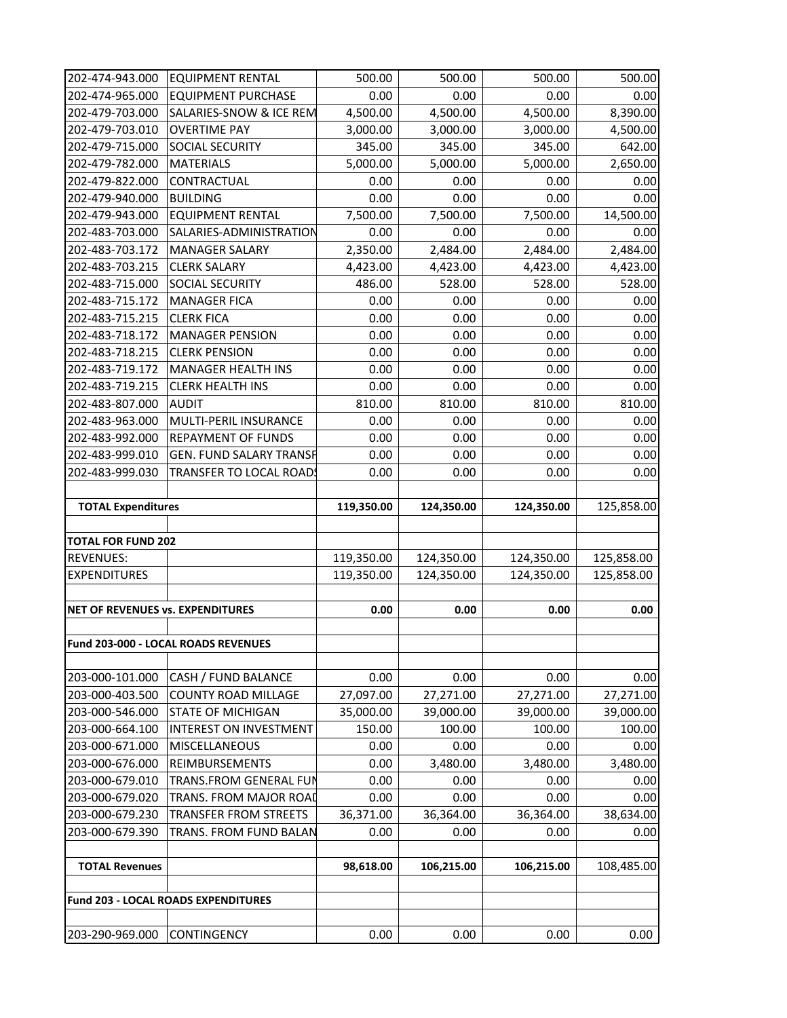| 202-474-943.000                         | <b>EQUIPMENT RENTAL</b>                    | 500.00     | 500.00     | 500.00     | 500.00                          |
|-----------------------------------------|--------------------------------------------|------------|------------|------------|---------------------------------|
| 202-474-965.000                         | <b>EQUIPMENT PURCHASE</b>                  | 0.00       | 0.00       | 0.00       | 0.00                            |
| 202-479-703.000                         | SALARIES-SNOW & ICE REM                    | 4,500.00   | 4,500.00   | 4,500.00   | 8,390.00                        |
| 202-479-703.010                         | <b>OVERTIME PAY</b>                        | 3,000.00   | 3,000.00   | 3,000.00   | 4,500.00                        |
| 202-479-715.000                         | <b>SOCIAL SECURITY</b>                     | 345.00     | 345.00     | 345.00     | 642.00                          |
| 202-479-782.000                         | <b>MATERIALS</b>                           | 5,000.00   | 5,000.00   | 5,000.00   | 2,650.00                        |
| 202-479-822.000                         | CONTRACTUAL                                | 0.00       | 0.00       | 0.00       | 0.00                            |
| 202-479-940.000                         | <b>BUILDING</b>                            | 0.00       | 0.00       | 0.00       | 0.00                            |
| 202-479-943.000                         | <b>EQUIPMENT RENTAL</b>                    | 7,500.00   | 7,500.00   | 7,500.00   | 14,500.00                       |
| 202-483-703.000                         | SALARIES-ADMINISTRATION                    | 0.00       | 0.00       | 0.00       | 0.00                            |
| 202-483-703.172                         | <b>MANAGER SALARY</b>                      | 2,350.00   | 2,484.00   | 2,484.00   | 2,484.00                        |
| 202-483-703.215                         | <b>CLERK SALARY</b>                        | 4,423.00   | 4,423.00   | 4,423.00   | 4,423.00                        |
| 202-483-715.000                         | <b>SOCIAL SECURITY</b>                     | 486.00     | 528.00     | 528.00     | 528.00                          |
| 202-483-715.172                         | <b>MANAGER FICA</b>                        | 0.00       | 0.00       | 0.00       | 0.00                            |
| 202-483-715.215                         | <b>CLERK FICA</b>                          | 0.00       | 0.00       | 0.00       | 0.00                            |
| 202-483-718.172                         | <b>MANAGER PENSION</b>                     | 0.00       | 0.00       | 0.00       | 0.00                            |
| 202-483-718.215                         | <b>CLERK PENSION</b>                       | 0.00       | 0.00       | 0.00       | 0.00                            |
| 202-483-719.172                         | <b>MANAGER HEALTH INS</b>                  | 0.00       | 0.00       | 0.00       | 0.00                            |
| 202-483-719.215                         | <b>CLERK HEALTH INS</b>                    | 0.00       | 0.00       | 0.00       | 0.00                            |
| 202-483-807.000                         | <b>AUDIT</b>                               | 810.00     | 810.00     | 810.00     | 810.00                          |
| 202-483-963.000                         | MULTI-PERIL INSURANCE                      | 0.00       | 0.00       | 0.00       | 0.00                            |
| 202-483-992.000                         | <b>REPAYMENT OF FUNDS</b>                  | 0.00       | 0.00       | 0.00       | 0.00                            |
| 202-483-999.010                         | <b>GEN. FUND SALARY TRANSF</b>             | 0.00       | 0.00       | 0.00       | 0.00                            |
| 202-483-999.030                         | TRANSFER TO LOCAL ROADS                    | 0.00       | 0.00       | 0.00       | 0.00                            |
|                                         |                                            |            |            |            |                                 |
|                                         |                                            |            |            |            |                                 |
| <b>TOTAL Expenditures</b>               |                                            | 119,350.00 | 124,350.00 | 124,350.00 |                                 |
|                                         |                                            |            |            |            |                                 |
| <b>TOTAL FOR FUND 202</b>               |                                            |            |            |            |                                 |
| <b>REVENUES:</b>                        |                                            | 119,350.00 | 124,350.00 | 124,350.00 | 125,858.00                      |
| <b>EXPENDITURES</b>                     |                                            | 119,350.00 | 124,350.00 | 124,350.00 | 125,858.00                      |
|                                         |                                            |            |            |            | 125,858.00                      |
| <b>NET OF REVENUES vs. EXPENDITURES</b> |                                            | 0.00       | 0.00       | 0.00       | 0.00                            |
|                                         |                                            |            |            |            |                                 |
|                                         | Fund 203-000 - LOCAL ROADS REVENUES        |            |            |            |                                 |
|                                         |                                            |            |            |            |                                 |
| 203-000-101.000                         | CASH / FUND BALANCE                        | 0.00       | 0.00       | 0.00       |                                 |
| 203-000-403.500                         | <b>COUNTY ROAD MILLAGE</b>                 | 27,097.00  | 27,271.00  | 27,271.00  | 0.00<br>27,271.00               |
| 203-000-546.000                         | <b>STATE OF MICHIGAN</b>                   | 35,000.00  | 39,000.00  | 39,000.00  | 39,000.00                       |
| 203-000-664.100                         | <b>INTEREST ON INVESTMENT</b>              | 150.00     | 100.00     | 100.00     | 100.00                          |
| 203-000-671.000                         | <b>MISCELLANEOUS</b>                       | 0.00       | 0.00       | 0.00       | 0.00                            |
| 203-000-676.000                         | <b>REIMBURSEMENTS</b>                      | 0.00       | 3,480.00   | 3,480.00   | 3,480.00                        |
| 203-000-679.010                         | <b>TRANS.FROM GENERAL FUN</b>              | 0.00       | 0.00       | 0.00       | 0.00                            |
| 203-000-679.020                         | <b>TRANS. FROM MAJOR ROAD</b>              | 0.00       | 0.00       | 0.00       |                                 |
| 203-000-679.230                         | <b>TRANSFER FROM STREETS</b>               | 36,371.00  | 36,364.00  | 36,364.00  |                                 |
| 203-000-679.390                         | <b>TRANS. FROM FUND BALAN</b>              | 0.00       | 0.00       | 0.00       | 0.00                            |
|                                         |                                            |            |            |            |                                 |
| <b>TOTAL Revenues</b>                   |                                            | 98,618.00  | 106,215.00 | 106,215.00 |                                 |
|                                         |                                            |            |            |            | 0.00<br>38,634.00<br>108,485.00 |
|                                         | <b>Fund 203 - LOCAL ROADS EXPENDITURES</b> |            |            |            |                                 |
| 203-290-969.000                         | <b>CONTINGENCY</b>                         | 0.00       | 0.00       | 0.00       | 0.00                            |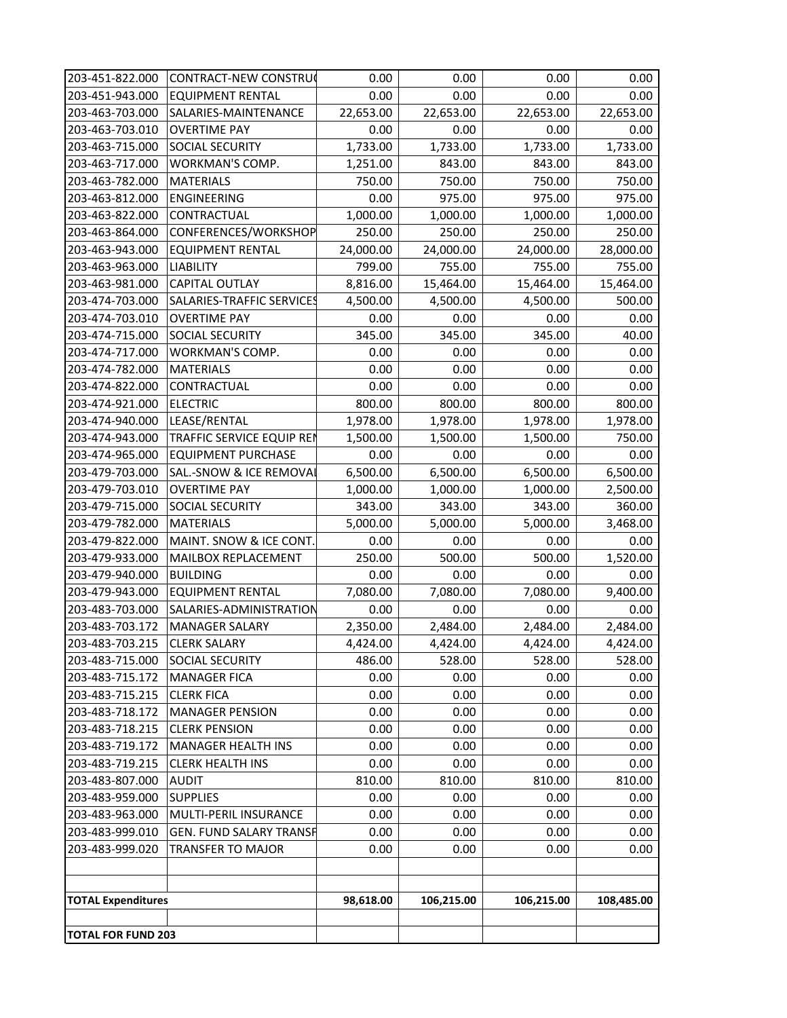| 203-451-822.000           | CONTRACT-NEW CONSTRU¢          | 0.00      | 0.00       | 0.00       | 0.00       |
|---------------------------|--------------------------------|-----------|------------|------------|------------|
| 203-451-943.000           | <b>EQUIPMENT RENTAL</b>        | 0.00      | 0.00       | 0.00       | 0.00       |
| 203-463-703.000           | SALARIES-MAINTENANCE           | 22,653.00 | 22,653.00  | 22,653.00  | 22,653.00  |
| 203-463-703.010           | <b>OVERTIME PAY</b>            | 0.00      | 0.00       | 0.00       | 0.00       |
| 203-463-715.000           | <b>SOCIAL SECURITY</b>         | 1,733.00  | 1,733.00   | 1,733.00   | 1,733.00   |
| 203-463-717.000           | <b>WORKMAN'S COMP.</b>         | 1,251.00  | 843.00     | 843.00     | 843.00     |
| 203-463-782.000           | <b>MATERIALS</b>               | 750.00    | 750.00     | 750.00     | 750.00     |
| 203-463-812.000           | <b>ENGINEERING</b>             | 0.00      | 975.00     | 975.00     | 975.00     |
| 203-463-822.000           | CONTRACTUAL                    | 1,000.00  | 1,000.00   | 1,000.00   | 1,000.00   |
| 203-463-864.000           | CONFERENCES/WORKSHOP           | 250.00    | 250.00     | 250.00     | 250.00     |
| 203-463-943.000           | <b>EQUIPMENT RENTAL</b>        | 24,000.00 | 24,000.00  | 24,000.00  | 28,000.00  |
| 203-463-963.000           | <b>LIABILITY</b>               | 799.00    | 755.00     | 755.00     | 755.00     |
| 203-463-981.000           | <b>CAPITAL OUTLAY</b>          | 8,816.00  | 15,464.00  | 15,464.00  | 15,464.00  |
| 203-474-703.000           | SALARIES-TRAFFIC SERVICES      | 4,500.00  | 4,500.00   | 4,500.00   | 500.00     |
| 203-474-703.010           | <b>OVERTIME PAY</b>            | 0.00      | 0.00       | 0.00       | 0.00       |
| 203-474-715.000           | <b>SOCIAL SECURITY</b>         | 345.00    | 345.00     | 345.00     | 40.00      |
| 203-474-717.000           | <b>WORKMAN'S COMP.</b>         | 0.00      | 0.00       | 0.00       | 0.00       |
| 203-474-782.000           | <b>MATERIALS</b>               | 0.00      | 0.00       | 0.00       | 0.00       |
| 203-474-822.000           | CONTRACTUAL                    | 0.00      | 0.00       | 0.00       | 0.00       |
| 203-474-921.000           | <b>ELECTRIC</b>                | 800.00    | 800.00     | 800.00     | 800.00     |
| 203-474-940.000           | LEASE/RENTAL                   | 1,978.00  | 1,978.00   | 1,978.00   | 1,978.00   |
| 203-474-943.000           | TRAFFIC SERVICE EQUIP REN      | 1,500.00  | 1,500.00   | 1,500.00   | 750.00     |
| 203-474-965.000           | <b>EQUIPMENT PURCHASE</b>      | 0.00      | 0.00       | 0.00       | 0.00       |
| 203-479-703.000           | SAL.-SNOW & ICE REMOVAL        | 6,500.00  | 6,500.00   | 6,500.00   | 6,500.00   |
| 203-479-703.010           | <b>OVERTIME PAY</b>            | 1,000.00  | 1,000.00   | 1,000.00   | 2,500.00   |
| 203-479-715.000           | <b>SOCIAL SECURITY</b>         | 343.00    | 343.00     | 343.00     | 360.00     |
| 203-479-782.000           | <b>MATERIALS</b>               | 5,000.00  | 5,000.00   | 5,000.00   | 3,468.00   |
| 203-479-822.000           | MAINT. SNOW & ICE CONT.        | 0.00      | 0.00       | 0.00       | 0.00       |
| 203-479-933.000           | MAILBOX REPLACEMENT            | 250.00    | 500.00     | 500.00     | 1,520.00   |
| 203-479-940.000           | <b>BUILDING</b>                | 0.00      | 0.00       | 0.00       | 0.00       |
| 203-479-943.000           | <b>EQUIPMENT RENTAL</b>        | 7,080.00  | 7,080.00   | 7,080.00   | 9,400.00   |
| 203-483-703.000           | SALARIES-ADMINISTRATION        | 0.00      | 0.00       | 0.00       | 0.00       |
| 203-483-703.172           | <b>MANAGER SALARY</b>          | 2,350.00  | 2,484.00   | 2,484.00   | 2,484.00   |
| 203-483-703.215           | <b>CLERK SALARY</b>            | 4,424.00  | 4,424.00   | 4,424.00   | 4,424.00   |
| 203-483-715.000           | <b>SOCIAL SECURITY</b>         | 486.00    | 528.00     | 528.00     | 528.00     |
| 203-483-715.172           | <b>MANAGER FICA</b>            | 0.00      | 0.00       | 0.00       | 0.00       |
| 203-483-715.215           | <b>CLERK FICA</b>              | 0.00      | 0.00       | 0.00       | 0.00       |
| 203-483-718.172           | <b>MANAGER PENSION</b>         | 0.00      | 0.00       | 0.00       | 0.00       |
| 203-483-718.215           | <b>CLERK PENSION</b>           | 0.00      | 0.00       | 0.00       | 0.00       |
| 203-483-719.172           | <b>MANAGER HEALTH INS</b>      | 0.00      | 0.00       | 0.00       | 0.00       |
| 203-483-719.215           | <b>CLERK HEALTH INS</b>        | 0.00      | 0.00       | 0.00       | 0.00       |
| 203-483-807.000           | <b>AUDIT</b>                   | 810.00    | 810.00     | 810.00     | 810.00     |
| 203-483-959.000           | <b>SUPPLIES</b>                | 0.00      | 0.00       | 0.00       | 0.00       |
| 203-483-963.000           | <b>MULTI-PERIL INSURANCE</b>   | 0.00      | 0.00       | 0.00       | 0.00       |
| 203-483-999.010           | <b>GEN. FUND SALARY TRANSH</b> | 0.00      | 0.00       | 0.00       | 0.00       |
| 203-483-999.020           | <b>TRANSFER TO MAJOR</b>       | 0.00      | 0.00       | 0.00       | 0.00       |
|                           |                                |           |            |            |            |
| <b>TOTAL Expenditures</b> |                                | 98,618.00 | 106,215.00 | 106,215.00 | 108,485.00 |
| <b>TOTAL FOR FUND 203</b> |                                |           |            |            |            |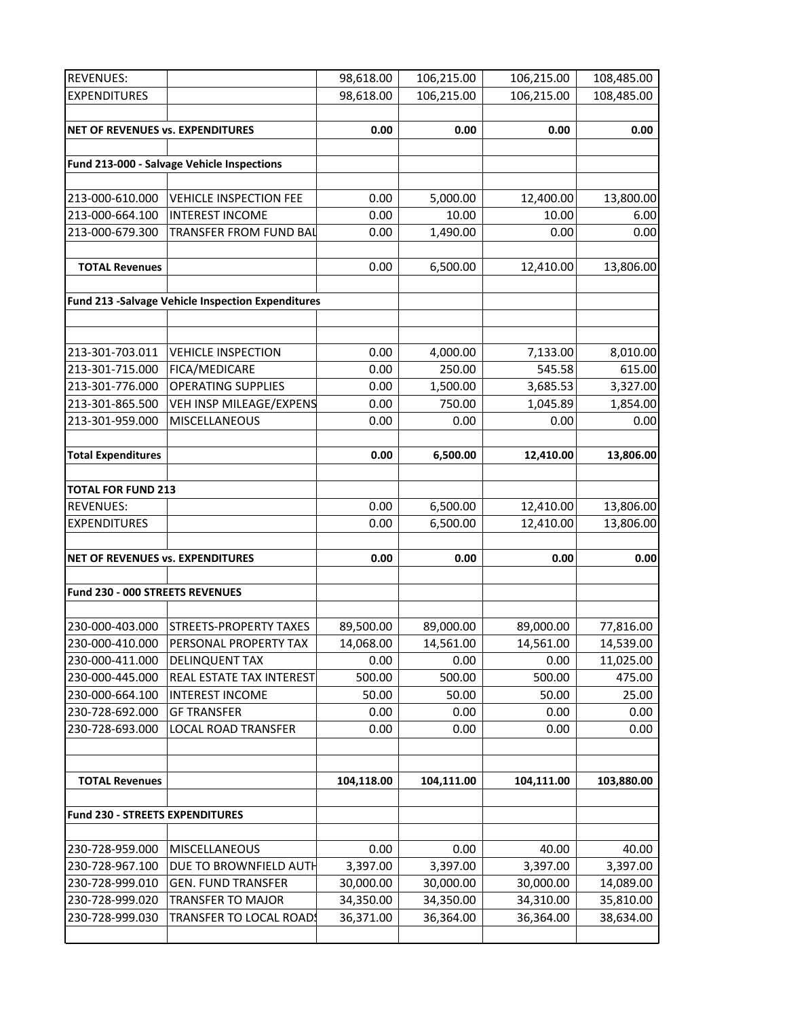| <b>REVENUES:</b>                        |                                                          | 98,618.00  | 106,215.00 | 106,215.00 | 108,485.00 |
|-----------------------------------------|----------------------------------------------------------|------------|------------|------------|------------|
| <b>EXPENDITURES</b>                     |                                                          | 98,618.00  | 106,215.00 | 106,215.00 | 108,485.00 |
|                                         |                                                          |            |            |            |            |
| <b>NET OF REVENUES vs. EXPENDITURES</b> |                                                          | 0.00       | 0.00       | 0.00       | 0.00       |
|                                         |                                                          |            |            |            |            |
|                                         | Fund 213-000 - Salvage Vehicle Inspections               |            |            |            |            |
|                                         |                                                          |            |            |            |            |
| 213-000-610.000                         | <b>VEHICLE INSPECTION FEE</b>                            | 0.00       | 5,000.00   | 12,400.00  | 13,800.00  |
| 213-000-664.100                         | <b>INTEREST INCOME</b>                                   | 0.00       | 10.00      | 10.00      | 6.00       |
| 213-000-679.300                         | <b>TRANSFER FROM FUND BAL</b>                            | 0.00       | 1,490.00   | 0.00       | 0.00       |
|                                         |                                                          |            |            |            |            |
| <b>TOTAL Revenues</b>                   |                                                          | 0.00       | 6,500.00   | 12,410.00  | 13,806.00  |
|                                         |                                                          |            |            |            |            |
|                                         | <b>Fund 213 -Salvage Vehicle Inspection Expenditures</b> |            |            |            |            |
|                                         |                                                          |            |            |            |            |
|                                         |                                                          |            |            |            |            |
| 213-301-703.011                         | <b>VEHICLE INSPECTION</b>                                | 0.00       | 4,000.00   | 7,133.00   | 8,010.00   |
| 213-301-715.000                         | <b>FICA/MEDICARE</b>                                     | 0.00       | 250.00     | 545.58     | 615.00     |
| 213-301-776.000                         | <b>OPERATING SUPPLIES</b>                                | 0.00       | 1,500.00   | 3,685.53   | 3,327.00   |
| 213-301-865.500                         | VEH INSP MILEAGE/EXPENS                                  | 0.00       | 750.00     | 1,045.89   | 1,854.00   |
| 213-301-959.000                         | <b>MISCELLANEOUS</b>                                     | 0.00       | 0.00       | 0.00       | 0.00       |
|                                         |                                                          |            |            |            |            |
| <b>Total Expenditures</b>               |                                                          | 0.00       | 6,500.00   | 12,410.00  | 13,806.00  |
|                                         |                                                          |            |            |            |            |
| <b>TOTAL FOR FUND 213</b>               |                                                          |            |            |            |            |
| <b>REVENUES:</b>                        |                                                          | 0.00       | 6,500.00   | 12,410.00  | 13,806.00  |
| <b>EXPENDITURES</b>                     |                                                          | 0.00       | 6,500.00   | 12,410.00  | 13,806.00  |
|                                         |                                                          |            |            |            |            |
| NET OF REVENUES vs. EXPENDITURES        |                                                          | 0.00       | 0.00       | 0.00       | 0.00       |
|                                         |                                                          |            |            |            |            |
| Fund 230 - 000 STREETS REVENUES         |                                                          |            |            |            |            |
|                                         |                                                          |            |            |            |            |
| 230-000-403.000                         | <b>STREETS-PROPERTY TAXES</b>                            | 89,500.00  | 89,000.00  | 89,000.00  | 77,816.00  |
| 230-000-410.000                         | PERSONAL PROPERTY TAX                                    | 14,068.00  | 14,561.00  | 14,561.00  | 14,539.00  |
| 230-000-411.000                         | <b>DELINQUENT TAX</b>                                    | 0.00       | 0.00       | 0.00       | 11,025.00  |
| 230-000-445.000                         | REAL ESTATE TAX INTEREST                                 | 500.00     | 500.00     | 500.00     | 475.00     |
| 230-000-664.100                         | <b>INTEREST INCOME</b>                                   | 50.00      | 50.00      | 50.00      | 25.00      |
| 230-728-692.000                         | <b>GF TRANSFER</b>                                       | 0.00       | 0.00       | 0.00       | 0.00       |
| 230-728-693.000                         | <b>LOCAL ROAD TRANSFER</b>                               | 0.00       | 0.00       | 0.00       | 0.00       |
|                                         |                                                          |            |            |            |            |
|                                         |                                                          |            |            |            |            |
| <b>TOTAL Revenues</b>                   |                                                          | 104,118.00 | 104,111.00 | 104,111.00 | 103,880.00 |
|                                         |                                                          |            |            |            |            |
| <b>Fund 230 - STREETS EXPENDITURES</b>  |                                                          |            |            |            |            |
|                                         |                                                          |            |            |            |            |
| 230-728-959.000                         | <b>MISCELLANEOUS</b>                                     | 0.00       | 0.00       | 40.00      | 40.00      |
| 230-728-967.100                         | DUE TO BROWNFIELD AUTH                                   | 3,397.00   | 3,397.00   | 3,397.00   | 3,397.00   |
| 230-728-999.010                         | <b>GEN. FUND TRANSFER</b>                                | 30,000.00  | 30,000.00  | 30,000.00  | 14,089.00  |
| 230-728-999.020                         | <b>TRANSFER TO MAJOR</b>                                 | 34,350.00  | 34,350.00  | 34,310.00  | 35,810.00  |
| 230-728-999.030                         | TRANSFER TO LOCAL ROAD!                                  | 36,371.00  | 36,364.00  | 36,364.00  | 38,634.00  |
|                                         |                                                          |            |            |            |            |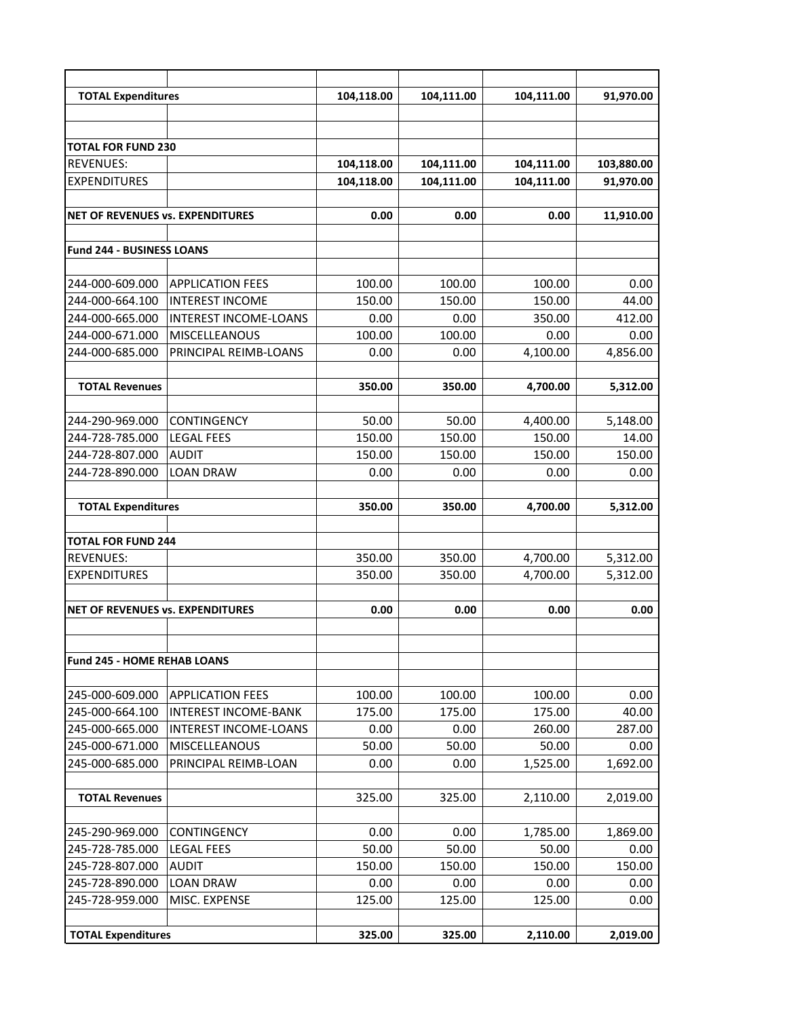| <b>TOTAL Expenditures</b>                |                              | 104,118.00 | 104,111.00 | 104,111.00 | 91,970.00  |
|------------------------------------------|------------------------------|------------|------------|------------|------------|
|                                          |                              |            |            |            |            |
|                                          |                              |            |            |            |            |
| <b>TOTAL FOR FUND 230</b>                |                              |            |            |            |            |
| <b>REVENUES:</b>                         |                              | 104,118.00 | 104,111.00 | 104,111.00 | 103,880.00 |
| <b>EXPENDITURES</b>                      |                              | 104,118.00 | 104,111.00 | 104,111.00 | 91,970.00  |
|                                          |                              |            |            |            |            |
| <b>INET OF REVENUES vs. EXPENDITURES</b> |                              | 0.00       | 0.00       | 0.00       | 11,910.00  |
|                                          |                              |            |            |            |            |
| <b>Fund 244 - BUSINESS LOANS</b>         |                              |            |            |            |            |
|                                          |                              |            |            |            |            |
| 244-000-609.000                          | <b>APPLICATION FEES</b>      | 100.00     | 100.00     | 100.00     | 0.00       |
| 244-000-664.100                          | <b>INTEREST INCOME</b>       | 150.00     | 150.00     | 150.00     | 44.00      |
| 244-000-665.000                          | <b>INTEREST INCOME-LOANS</b> | 0.00       | 0.00       | 350.00     | 412.00     |
| 244-000-671.000                          | <b>MISCELLEANOUS</b>         | 100.00     | 100.00     | 0.00       | 0.00       |
| 244-000-685.000                          | PRINCIPAL REIMB-LOANS        | 0.00       | 0.00       | 4,100.00   | 4,856.00   |
|                                          |                              |            |            |            |            |
| <b>TOTAL Revenues</b>                    |                              | 350.00     | 350.00     | 4,700.00   | 5,312.00   |
|                                          |                              |            |            |            |            |
| 244-290-969.000                          | <b>CONTINGENCY</b>           | 50.00      | 50.00      | 4,400.00   | 5,148.00   |
| 244-728-785.000                          | <b>LEGAL FEES</b>            | 150.00     | 150.00     | 150.00     | 14.00      |
| 244-728-807.000                          | <b>AUDIT</b>                 | 150.00     | 150.00     | 150.00     | 150.00     |
| 244-728-890.000                          | <b>LOAN DRAW</b>             | 0.00       | 0.00       | 0.00       | 0.00       |
|                                          |                              |            |            |            |            |
| <b>TOTAL Expenditures</b>                |                              | 350.00     | 350.00     | 4,700.00   | 5,312.00   |
|                                          |                              |            |            |            |            |
| <b>TOTAL FOR FUND 244</b>                |                              |            |            |            |            |
| <b>REVENUES:</b>                         |                              | 350.00     | 350.00     | 4,700.00   | 5,312.00   |
| <b>EXPENDITURES</b>                      |                              | 350.00     | 350.00     | 4,700.00   | 5,312.00   |
|                                          |                              |            |            |            |            |
| NET OF REVENUES vs. EXPENDITURES         |                              | 0.00       | 0.00       | 0.00       | 0.00       |
|                                          |                              |            |            |            |            |
|                                          |                              |            |            |            |            |
| <b>Fund 245 - HOME REHAB LOANS</b>       |                              |            |            |            |            |
|                                          |                              |            |            |            |            |
| 245-000-609.000                          | <b>APPLICATION FEES</b>      | 100.00     | 100.00     | 100.00     | 0.00       |
| 245-000-664.100                          | <b>INTEREST INCOME-BANK</b>  | 175.00     | 175.00     | 175.00     | 40.00      |
| 245-000-665.000                          | <b>INTEREST INCOME-LOANS</b> | 0.00       | 0.00       | 260.00     | 287.00     |
| 245-000-671.000                          | <b>MISCELLEANOUS</b>         | 50.00      | 50.00      | 50.00      | 0.00       |
| 245-000-685.000                          | PRINCIPAL REIMB-LOAN         | 0.00       | 0.00       | 1,525.00   | 1,692.00   |
|                                          |                              |            |            |            |            |
| <b>TOTAL Revenues</b>                    |                              | 325.00     | 325.00     | 2,110.00   | 2,019.00   |
|                                          |                              |            |            |            |            |
| 245-290-969.000                          | <b>CONTINGENCY</b>           | 0.00       | 0.00       | 1,785.00   | 1,869.00   |
| 245-728-785.000                          | <b>LEGAL FEES</b>            | 50.00      | 50.00      | 50.00      | 0.00       |
| 245-728-807.000                          | <b>AUDIT</b>                 | 150.00     | 150.00     | 150.00     | 150.00     |
| 245-728-890.000                          | <b>LOAN DRAW</b>             | 0.00       | 0.00       | 0.00       | 0.00       |
| 245-728-959.000                          | MISC. EXPENSE                | 125.00     | 125.00     | 125.00     | 0.00       |
|                                          |                              |            |            |            |            |
| <b>TOTAL Expenditures</b>                |                              | 325.00     | 325.00     | 2,110.00   | 2,019.00   |
|                                          |                              |            |            |            |            |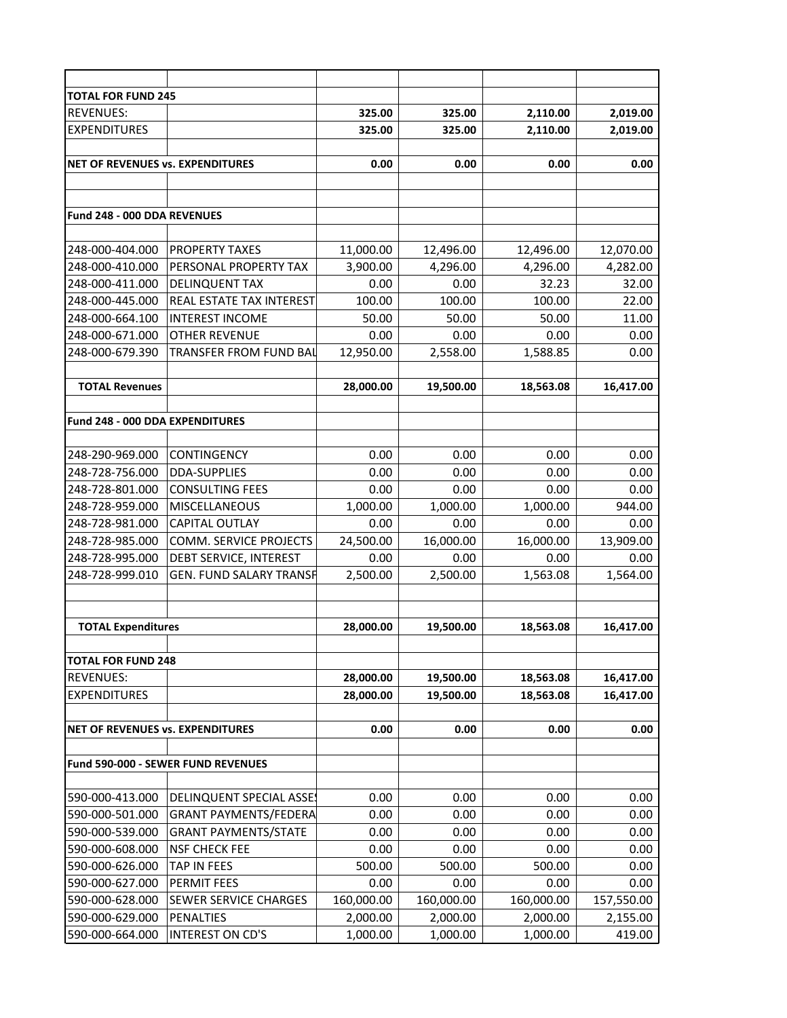| <b>TOTAL FOR FUND 245</b>              |                                           |            |            |            |            |
|----------------------------------------|-------------------------------------------|------------|------------|------------|------------|
| <b>REVENUES:</b>                       |                                           | 325.00     | 325.00     | 2,110.00   | 2,019.00   |
| <b>EXPENDITURES</b>                    |                                           | 325.00     | 325.00     | 2,110.00   | 2,019.00   |
| NET OF REVENUES vs. EXPENDITURES       |                                           | 0.00       | 0.00       | 0.00       | 0.00       |
|                                        |                                           |            |            |            |            |
|                                        |                                           |            |            |            |            |
| Fund 248 - 000 DDA REVENUES            |                                           |            |            |            |            |
| 248-000-404.000                        | <b>PROPERTY TAXES</b>                     | 11,000.00  | 12,496.00  | 12,496.00  | 12,070.00  |
| 248-000-410.000                        | PERSONAL PROPERTY TAX                     | 3,900.00   | 4,296.00   | 4,296.00   | 4,282.00   |
| 248-000-411.000                        | <b>DELINQUENT TAX</b>                     | 0.00       | 0.00       | 32.23      | 32.00      |
| 248-000-445.000                        | REAL ESTATE TAX INTEREST                  | 100.00     | 100.00     | 100.00     | 22.00      |
| 248-000-664.100                        | <b>INTEREST INCOME</b>                    |            |            |            | 11.00      |
|                                        |                                           | 50.00      | 50.00      | 50.00      |            |
| 248-000-671.000                        | <b>OTHER REVENUE</b>                      | 0.00       | 0.00       | 0.00       | 0.00       |
| 248-000-679.390                        | TRANSFER FROM FUND BAL                    | 12,950.00  | 2,558.00   | 1,588.85   | 0.00       |
| <b>TOTAL Revenues</b>                  |                                           | 28,000.00  | 19,500.00  | 18,563.08  | 16,417.00  |
| <b>Fund 248 - 000 DDA EXPENDITURES</b> |                                           |            |            |            |            |
|                                        |                                           |            |            |            |            |
| 248-290-969.000                        | <b>CONTINGENCY</b>                        | 0.00       | 0.00       | 0.00       | 0.00       |
| 248-728-756.000                        | <b>DDA-SUPPLIES</b>                       | 0.00       | 0.00       | 0.00       | 0.00       |
| 248-728-801.000                        | <b>CONSULTING FEES</b>                    | 0.00       | 0.00       | 0.00       | 0.00       |
| 248-728-959.000                        | <b>MISCELLANEOUS</b>                      | 1,000.00   | 1,000.00   | 1,000.00   | 944.00     |
| 248-728-981.000                        | <b>CAPITAL OUTLAY</b>                     | 0.00       | 0.00       | 0.00       | 0.00       |
| 248-728-985.000                        | <b>COMM. SERVICE PROJECTS</b>             | 24,500.00  | 16,000.00  | 16,000.00  | 13,909.00  |
| 248-728-995.000                        | DEBT SERVICE, INTEREST                    | 0.00       | 0.00       | 0.00       | 0.00       |
| 248-728-999.010                        | <b>GEN. FUND SALARY TRANSH</b>            | 2,500.00   | 2,500.00   |            | 1,564.00   |
|                                        |                                           |            |            | 1,563.08   |            |
| <b>TOTAL Expenditures</b>              |                                           | 28,000.00  | 19,500.00  | 18,563.08  | 16,417.00  |
|                                        |                                           |            |            |            |            |
| <b>TOTAL FOR FUND 248</b>              |                                           |            |            |            |            |
| <b>REVENUES:</b>                       |                                           | 28,000.00  | 19,500.00  | 18,563.08  | 16,417.00  |
| <b>EXPENDITURES</b>                    |                                           | 28,000.00  | 19,500.00  | 18,563.08  | 16,417.00  |
| NET OF REVENUES vs. EXPENDITURES       |                                           | 0.00       | 0.00       | 0.00       | 0.00       |
|                                        | <b>Fund 590-000 - SEWER FUND REVENUES</b> |            |            |            |            |
|                                        |                                           |            |            |            |            |
| 590-000-413.000                        | <b>DELINQUENT SPECIAL ASSES</b>           | 0.00       | 0.00       | 0.00       | 0.00       |
| 590-000-501.000                        | <b>GRANT PAYMENTS/FEDERA</b>              | 0.00       | 0.00       | 0.00       | 0.00       |
| 590-000-539.000                        | <b>GRANT PAYMENTS/STATE</b>               | 0.00       | 0.00       | 0.00       | 0.00       |
| 590-000-608.000                        | <b>NSF CHECK FEE</b>                      | 0.00       | 0.00       | 0.00       | 0.00       |
| 590-000-626.000                        | TAP IN FEES                               | 500.00     | 500.00     | 500.00     | 0.00       |
| 590-000-627.000                        | PERMIT FEES                               | 0.00       | 0.00       | 0.00       | 0.00       |
| 590-000-628.000                        | <b>SEWER SERVICE CHARGES</b>              | 160,000.00 | 160,000.00 | 160,000.00 | 157,550.00 |
| 590-000-629.000                        | <b>PENALTIES</b>                          | 2,000.00   | 2,000.00   | 2,000.00   | 2,155.00   |
| 590-000-664.000                        | <b>INTEREST ON CD'S</b>                   | 1,000.00   | 1,000.00   | 1,000.00   | 419.00     |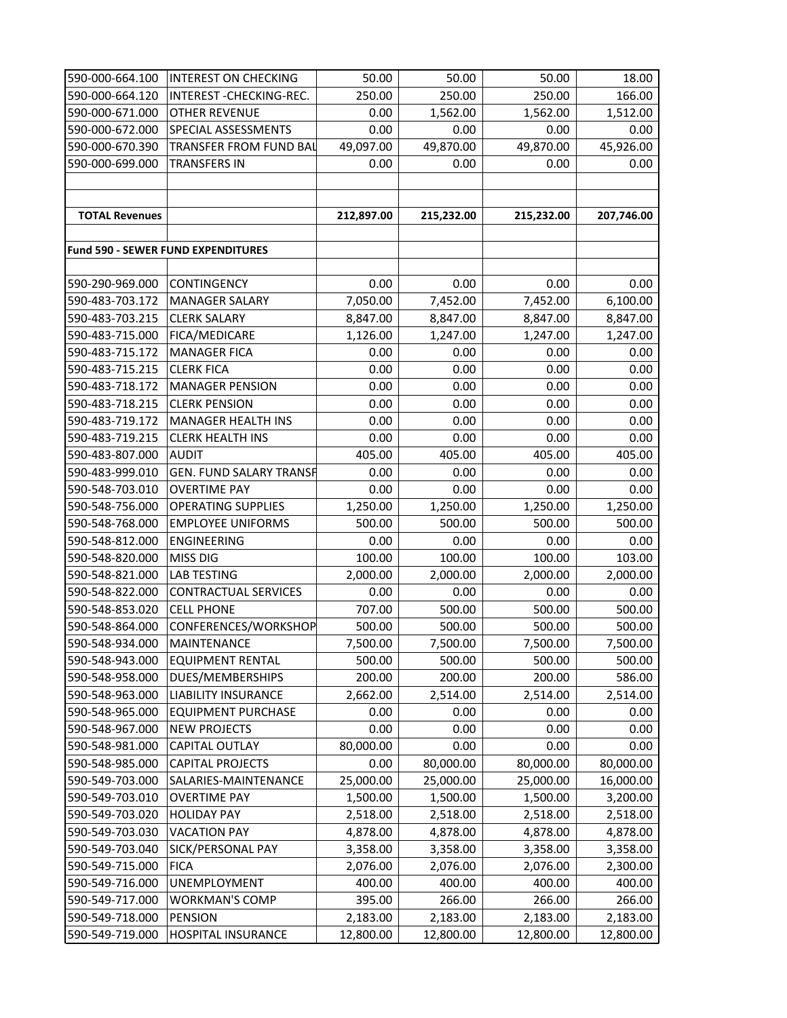| 590-000-664.100       | <b>INTEREST ON CHECKING</b>               | 50.00      | 50.00      | 50.00      | 18.00      |
|-----------------------|-------------------------------------------|------------|------------|------------|------------|
| 590-000-664.120       | INTEREST - CHECKING-REC.                  | 250.00     | 250.00     | 250.00     | 166.00     |
| 590-000-671.000       | <b>OTHER REVENUE</b>                      | 0.00       | 1,562.00   | 1,562.00   | 1,512.00   |
| 590-000-672.000       | SPECIAL ASSESSMENTS                       | 0.00       | 0.00       | 0.00       | 0.00       |
| 590-000-670.390       | <b>TRANSFER FROM FUND BAL</b>             | 49,097.00  | 49,870.00  | 49,870.00  | 45,926.00  |
| 590-000-699.000       | <b>TRANSFERS IN</b>                       | 0.00       | 0.00       | 0.00       | 0.00       |
|                       |                                           |            |            |            |            |
|                       |                                           |            |            |            |            |
| <b>TOTAL Revenues</b> |                                           | 212,897.00 | 215,232.00 | 215,232.00 | 207,746.00 |
|                       |                                           |            |            |            |            |
|                       | <b>Fund 590 - SEWER FUND EXPENDITURES</b> |            |            |            |            |
|                       |                                           |            |            |            |            |
| 590-290-969.000       | <b>CONTINGENCY</b>                        | 0.00       | 0.00       | 0.00       | 0.00       |
| 590-483-703.172       | <b>MANAGER SALARY</b>                     | 7,050.00   | 7,452.00   | 7,452.00   | 6,100.00   |
| 590-483-703.215       | <b>CLERK SALARY</b>                       | 8,847.00   | 8,847.00   | 8,847.00   | 8,847.00   |
| 590-483-715.000       | FICA/MEDICARE                             | 1,126.00   | 1,247.00   | 1,247.00   | 1,247.00   |
| 590-483-715.172       | <b>MANAGER FICA</b>                       | 0.00       | 0.00       | 0.00       | 0.00       |
| 590-483-715.215       | <b>CLERK FICA</b>                         | 0.00       | 0.00       | 0.00       | 0.00       |
| 590-483-718.172       | <b>MANAGER PENSION</b>                    | 0.00       | 0.00       | 0.00       | 0.00       |
| 590-483-718.215       | <b>CLERK PENSION</b>                      | 0.00       | 0.00       | 0.00       | 0.00       |
| 590-483-719.172       | <b>MANAGER HEALTH INS</b>                 | 0.00       | 0.00       | 0.00       | 0.00       |
| 590-483-719.215       | <b>CLERK HEALTH INS</b>                   | 0.00       | 0.00       | 0.00       | 0.00       |
| 590-483-807.000       | <b>AUDIT</b>                              | 405.00     | 405.00     | 405.00     | 405.00     |
| 590-483-999.010       | <b>GEN. FUND SALARY TRANSF</b>            | 0.00       | 0.00       | 0.00       | 0.00       |
| 590-548-703.010       | <b>OVERTIME PAY</b>                       | 0.00       | 0.00       | 0.00       | 0.00       |
| 590-548-756.000       | <b>OPERATING SUPPLIES</b>                 | 1,250.00   | 1,250.00   | 1,250.00   | 1,250.00   |
| 590-548-768.000       | <b>EMPLOYEE UNIFORMS</b>                  | 500.00     | 500.00     | 500.00     | 500.00     |
| 590-548-812.000       | <b>ENGINEERING</b>                        | 0.00       | 0.00       | 0.00       | 0.00       |
| 590-548-820.000       | <b>MISS DIG</b>                           | 100.00     | 100.00     | 100.00     | 103.00     |
| 590-548-821.000       | <b>LAB TESTING</b>                        | 2,000.00   | 2,000.00   | 2,000.00   | 2,000.00   |
| 590-548-822.000       | <b>CONTRACTUAL SERVICES</b>               | 0.00       | 0.00       | 0.00       | 0.00       |
| 590-548-853.020       | <b>CELL PHONE</b>                         | 707.00     | 500.00     | 500.00     | 500.00     |
| 590-548-864.000       | CONFERENCES/WORKSHOP                      | 500.00     | 500.00     | 500.00     | 500.00     |
| 590-548-934.000       | <b>MAINTENANCE</b>                        | 7,500.00   | 7,500.00   | 7,500.00   | 7,500.00   |
| 590-548-943.000       | <b>EQUIPMENT RENTAL</b>                   | 500.00     | 500.00     | 500.00     | 500.00     |
| 590-548-958.000       | DUES/MEMBERSHIPS                          | 200.00     | 200.00     | 200.00     | 586.00     |
| 590-548-963.000       | <b>LIABILITY INSURANCE</b>                | 2,662.00   | 2,514.00   | 2,514.00   | 2,514.00   |
| 590-548-965.000       | <b>EQUIPMENT PURCHASE</b>                 | 0.00       | 0.00       | 0.00       | 0.00       |
| 590-548-967.000       | <b>NEW PROJECTS</b>                       | 0.00       | 0.00       | 0.00       | 0.00       |
| 590-548-981.000       | <b>CAPITAL OUTLAY</b>                     | 80,000.00  | 0.00       | 0.00       | 0.00       |
| 590-548-985.000       | <b>CAPITAL PROJECTS</b>                   | 0.00       | 80,000.00  | 80,000.00  | 80,000.00  |
| 590-549-703.000       | SALARIES-MAINTENANCE                      | 25,000.00  | 25,000.00  | 25,000.00  | 16,000.00  |
| 590-549-703.010       | <b>OVERTIME PAY</b>                       | 1,500.00   | 1,500.00   | 1,500.00   | 3,200.00   |
| 590-549-703.020       | <b>HOLIDAY PAY</b>                        | 2,518.00   | 2,518.00   | 2,518.00   | 2,518.00   |
| 590-549-703.030       | <b>VACATION PAY</b>                       | 4,878.00   | 4,878.00   | 4,878.00   | 4,878.00   |
| 590-549-703.040       | SICK/PERSONAL PAY                         | 3,358.00   | 3,358.00   | 3,358.00   | 3,358.00   |
| 590-549-715.000       | <b>FICA</b>                               | 2,076.00   | 2,076.00   | 2,076.00   | 2,300.00   |
| 590-549-716.000       | <b>UNEMPLOYMENT</b>                       | 400.00     | 400.00     | 400.00     | 400.00     |
| 590-549-717.000       | <b>WORKMAN'S COMP</b>                     | 395.00     | 266.00     | 266.00     | 266.00     |
| 590-549-718.000       | <b>PENSION</b>                            | 2,183.00   | 2,183.00   | 2,183.00   | 2,183.00   |
| 590-549-719.000       | <b>HOSPITAL INSURANCE</b>                 | 12,800.00  | 12,800.00  | 12,800.00  | 12,800.00  |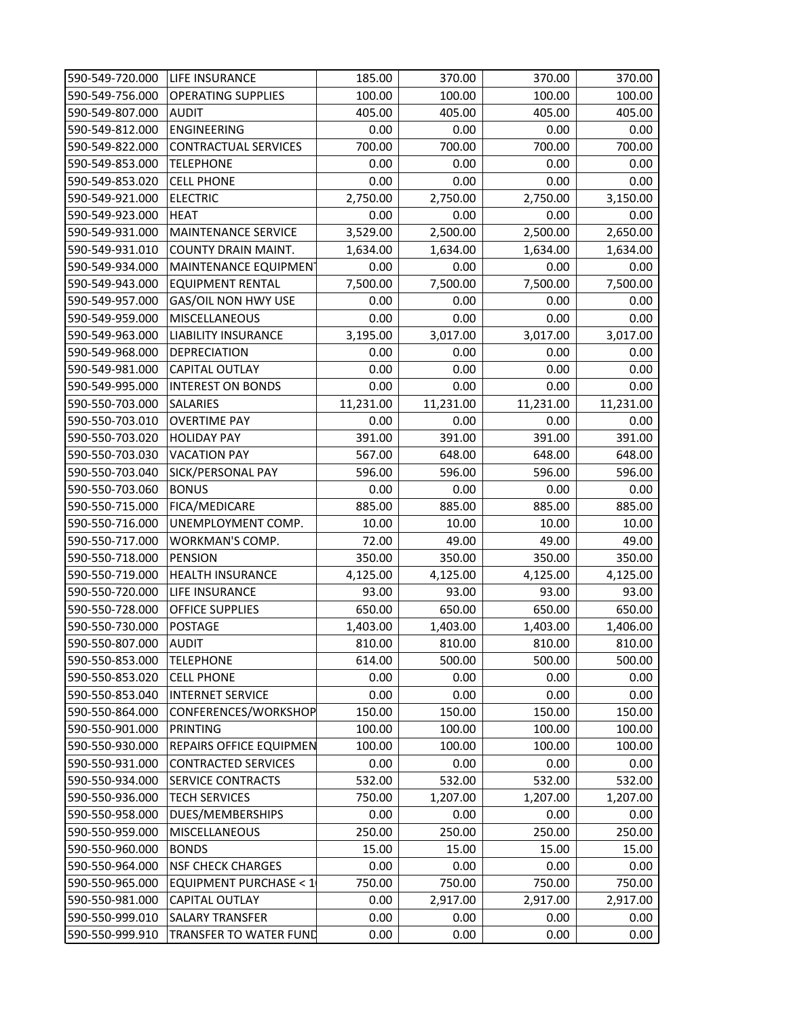| 590-549-720.000 | LIFE INSURANCE                   | 185.00    | 370.00    | 370.00    | 370.00    |
|-----------------|----------------------------------|-----------|-----------|-----------|-----------|
| 590-549-756.000 | <b>OPERATING SUPPLIES</b>        | 100.00    | 100.00    | 100.00    | 100.00    |
| 590-549-807.000 | <b>AUDIT</b>                     | 405.00    | 405.00    | 405.00    | 405.00    |
| 590-549-812.000 | <b>ENGINEERING</b>               | 0.00      | 0.00      | 0.00      | 0.00      |
| 590-549-822.000 | <b>CONTRACTUAL SERVICES</b>      | 700.00    | 700.00    | 700.00    | 700.00    |
| 590-549-853.000 | <b>TELEPHONE</b>                 | 0.00      | 0.00      | 0.00      | 0.00      |
| 590-549-853.020 | <b>CELL PHONE</b>                | 0.00      | 0.00      | 0.00      | 0.00      |
| 590-549-921.000 | <b>ELECTRIC</b>                  | 2,750.00  | 2,750.00  | 2,750.00  | 3,150.00  |
| 590-549-923.000 | <b>HEAT</b>                      | 0.00      | 0.00      | 0.00      | 0.00      |
| 590-549-931.000 | <b>MAINTENANCE SERVICE</b>       | 3,529.00  | 2,500.00  | 2,500.00  | 2,650.00  |
| 590-549-931.010 | <b>COUNTY DRAIN MAINT.</b>       | 1,634.00  | 1,634.00  | 1,634.00  | 1,634.00  |
| 590-549-934.000 | MAINTENANCE EQUIPMENT            | 0.00      | 0.00      | 0.00      | 0.00      |
| 590-549-943.000 | <b>EQUIPMENT RENTAL</b>          | 7,500.00  | 7,500.00  | 7,500.00  | 7,500.00  |
| 590-549-957.000 | GAS/OIL NON HWY USE              | 0.00      | 0.00      | 0.00      | 0.00      |
| 590-549-959.000 | <b>MISCELLANEOUS</b>             | 0.00      | 0.00      | 0.00      | 0.00      |
| 590-549-963.000 | <b>LIABILITY INSURANCE</b>       | 3,195.00  | 3,017.00  | 3,017.00  | 3,017.00  |
| 590-549-968.000 | <b>DEPRECIATION</b>              | 0.00      | 0.00      | 0.00      | 0.00      |
| 590-549-981.000 | <b>CAPITAL OUTLAY</b>            | 0.00      | 0.00      | 0.00      | 0.00      |
| 590-549-995.000 | <b>INTEREST ON BONDS</b>         | 0.00      | 0.00      | 0.00      | 0.00      |
| 590-550-703.000 | <b>SALARIES</b>                  | 11,231.00 | 11,231.00 | 11,231.00 | 11,231.00 |
| 590-550-703.010 | <b>OVERTIME PAY</b>              | 0.00      | 0.00      | 0.00      | 0.00      |
| 590-550-703.020 | <b>HOLIDAY PAY</b>               | 391.00    | 391.00    | 391.00    | 391.00    |
| 590-550-703.030 | <b>VACATION PAY</b>              | 567.00    | 648.00    | 648.00    | 648.00    |
| 590-550-703.040 | SICK/PERSONAL PAY                | 596.00    | 596.00    | 596.00    | 596.00    |
| 590-550-703.060 | <b>BONUS</b>                     | 0.00      | 0.00      | 0.00      | 0.00      |
| 590-550-715.000 | <b>FICA/MEDICARE</b>             | 885.00    | 885.00    | 885.00    | 885.00    |
| 590-550-716.000 | UNEMPLOYMENT COMP.               | 10.00     | 10.00     | 10.00     | 10.00     |
| 590-550-717.000 | <b>WORKMAN'S COMP.</b>           | 72.00     | 49.00     | 49.00     | 49.00     |
| 590-550-718.000 | <b>PENSION</b>                   | 350.00    | 350.00    | 350.00    | 350.00    |
| 590-550-719.000 | <b>HEALTH INSURANCE</b>          | 4,125.00  | 4,125.00  | 4,125.00  | 4,125.00  |
| 590-550-720.000 | <b>LIFE INSURANCE</b>            | 93.00     | 93.00     | 93.00     | 93.00     |
| 590-550-728.000 | <b>OFFICE SUPPLIES</b>           | 650.00    | 650.00    | 650.00    | 650.00    |
| 590-550-730.000 | <b>POSTAGE</b>                   | 1,403.00  | 1,403.00  | 1,403.00  | 1,406.00  |
| 590-550-807.000 | <b>AUDIT</b>                     | 810.00    | 810.00    | 810.00    | 810.00    |
| 590-550-853.000 | <b>TELEPHONE</b>                 | 614.00    | 500.00    | 500.00    | 500.00    |
| 590-550-853.020 | <b>CELL PHONE</b>                | 0.00      | 0.00      | 0.00      | 0.00      |
| 590-550-853.040 | <b>INTERNET SERVICE</b>          | 0.00      | 0.00      | 0.00      | 0.00      |
| 590-550-864.000 | CONFERENCES/WORKSHOP             | 150.00    | 150.00    | 150.00    | 150.00    |
| 590-550-901.000 | PRINTING                         | 100.00    | 100.00    | 100.00    | 100.00    |
| 590-550-930.000 | <b>REPAIRS OFFICE EQUIPMEN</b>   | 100.00    | 100.00    | 100.00    | 100.00    |
| 590-550-931.000 | <b>CONTRACTED SERVICES</b>       | 0.00      | 0.00      | 0.00      | 0.00      |
| 590-550-934.000 | <b>SERVICE CONTRACTS</b>         | 532.00    | 532.00    | 532.00    | 532.00    |
| 590-550-936.000 | <b>TECH SERVICES</b>             | 750.00    | 1,207.00  | 1,207.00  | 1,207.00  |
| 590-550-958.000 | <b>DUES/MEMBERSHIPS</b>          | 0.00      | 0.00      | 0.00      | 0.00      |
| 590-550-959.000 | <b>MISCELLANEOUS</b>             | 250.00    | 250.00    | 250.00    | 250.00    |
| 590-550-960.000 | <b>BONDS</b>                     | 15.00     | 15.00     | 15.00     | 15.00     |
| 590-550-964.000 | <b>NSF CHECK CHARGES</b>         | 0.00      | 0.00      | 0.00      | 0.00      |
| 590-550-965.000 | <b>EQUIPMENT PURCHASE &lt; 1</b> | 750.00    | 750.00    | 750.00    | 750.00    |
| 590-550-981.000 | <b>CAPITAL OUTLAY</b>            | 0.00      | 2,917.00  | 2,917.00  | 2,917.00  |
| 590-550-999.010 | <b>SALARY TRANSFER</b>           | 0.00      | 0.00      | 0.00      | 0.00      |
| 590-550-999.910 | <b>TRANSFER TO WATER FUND</b>    | 0.00      | 0.00      | 0.00      | 0.00      |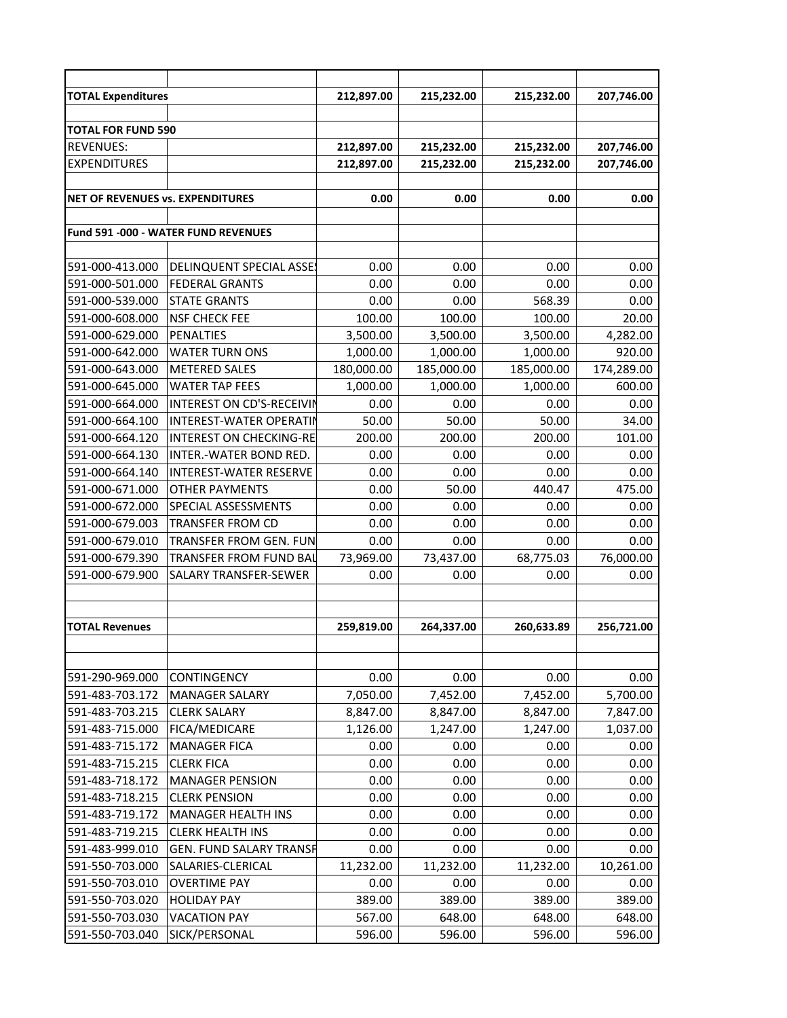| <b>TOTAL Expenditures</b>               |                                     | 212,897.00 | 215,232.00 | 215,232.00 | 207,746.00 |
|-----------------------------------------|-------------------------------------|------------|------------|------------|------------|
|                                         |                                     |            |            |            |            |
| <b>TOTAL FOR FUND 590</b>               |                                     |            |            |            |            |
| <b>REVENUES:</b>                        |                                     | 212,897.00 | 215,232.00 | 215,232.00 | 207,746.00 |
| <b>EXPENDITURES</b>                     |                                     | 212,897.00 | 215,232.00 | 215,232.00 | 207,746.00 |
|                                         |                                     |            |            |            |            |
| <b>NET OF REVENUES vs. EXPENDITURES</b> |                                     | 0.00       | 0.00       | 0.00       | 0.00       |
|                                         |                                     |            |            |            |            |
|                                         | Fund 591 -000 - WATER FUND REVENUES |            |            |            |            |
|                                         |                                     |            |            |            |            |
| 591-000-413.000                         | <b>DELINQUENT SPECIAL ASSES</b>     | 0.00       | 0.00       | 0.00       | 0.00       |
| 591-000-501.000                         | <b>FEDERAL GRANTS</b>               | 0.00       | 0.00       | 0.00       | 0.00       |
| 591-000-539.000                         | <b>STATE GRANTS</b>                 | 0.00       | 0.00       | 568.39     | 0.00       |
| 591-000-608.000                         | <b>NSF CHECK FEE</b>                | 100.00     | 100.00     | 100.00     | 20.00      |
| 591-000-629.000                         | <b>PENALTIES</b>                    | 3,500.00   | 3,500.00   | 3,500.00   | 4,282.00   |
| 591-000-642.000                         | <b>WATER TURN ONS</b>               | 1,000.00   | 1,000.00   | 1,000.00   | 920.00     |
| 591-000-643.000                         | <b>METERED SALES</b>                | 180,000.00 | 185,000.00 | 185,000.00 | 174,289.00 |
| 591-000-645.000                         | <b>WATER TAP FEES</b>               | 1,000.00   | 1,000.00   | 1,000.00   | 600.00     |
| 591-000-664.000                         | INTEREST ON CD'S-RECEIVIN           | 0.00       | 0.00       | 0.00       | 0.00       |
| 591-000-664.100                         | <b>INTEREST-WATER OPERATIN</b>      | 50.00      | 50.00      | 50.00      | 34.00      |
| 591-000-664.120                         | <b>INTEREST ON CHECKING-RE</b>      | 200.00     | 200.00     | 200.00     | 101.00     |
| 591-000-664.130                         | INTER.-WATER BOND RED.              | 0.00       | 0.00       | 0.00       | 0.00       |
| 591-000-664.140                         | <b>INTEREST-WATER RESERVE</b>       | 0.00       | 0.00       | 0.00       | 0.00       |
| 591-000-671.000                         | <b>OTHER PAYMENTS</b>               | 0.00       | 50.00      | 440.47     | 475.00     |
| 591-000-672.000                         | SPECIAL ASSESSMENTS                 | 0.00       | 0.00       | 0.00       | 0.00       |
| 591-000-679.003                         | <b>TRANSFER FROM CD</b>             | 0.00       | 0.00       | 0.00       | 0.00       |
| 591-000-679.010                         | <b>TRANSFER FROM GEN. FUN</b>       | 0.00       | 0.00       | 0.00       | 0.00       |
| 591-000-679.390                         | TRANSFER FROM FUND BAL              | 73,969.00  | 73,437.00  | 68,775.03  | 76,000.00  |
| 591-000-679.900                         | <b>SALARY TRANSFER-SEWER</b>        | 0.00       | 0.00       | 0.00       | 0.00       |
|                                         |                                     |            |            |            |            |
|                                         |                                     |            |            |            |            |
| <b>TOTAL Revenues</b>                   |                                     | 259,819.00 | 264,337.00 | 260,633.89 | 256,721.00 |
|                                         |                                     |            |            |            |            |
|                                         |                                     |            |            |            |            |
| 591-290-969.000                         | <b>CONTINGENCY</b>                  | 0.00       | 0.00       | 0.00       | 0.00       |
| 591-483-703.172                         | <b>MANAGER SALARY</b>               | 7,050.00   | 7,452.00   | 7,452.00   | 5,700.00   |
| 591-483-703.215                         | <b>CLERK SALARY</b>                 | 8,847.00   | 8,847.00   | 8,847.00   | 7,847.00   |
| 591-483-715.000                         | FICA/MEDICARE                       | 1,126.00   | 1,247.00   | 1,247.00   | 1,037.00   |
| 591-483-715.172                         | <b>MANAGER FICA</b>                 | 0.00       | 0.00       | 0.00       | 0.00       |
| 591-483-715.215                         | <b>CLERK FICA</b>                   | 0.00       | 0.00       | 0.00       | 0.00       |
| 591-483-718.172                         | <b>MANAGER PENSION</b>              | 0.00       | 0.00       | 0.00       | 0.00       |
| 591-483-718.215                         | <b>CLERK PENSION</b>                | 0.00       | 0.00       | 0.00       | 0.00       |
| 591-483-719.172                         | <b>MANAGER HEALTH INS</b>           | 0.00       | 0.00       | 0.00       | 0.00       |
| 591-483-719.215                         | <b>CLERK HEALTH INS</b>             | 0.00       | 0.00       | 0.00       | 0.00       |
| 591-483-999.010                         | <b>GEN. FUND SALARY TRANSF</b>      | 0.00       | 0.00       | 0.00       | 0.00       |
| 591-550-703.000                         | SALARIES-CLERICAL                   | 11,232.00  | 11,232.00  | 11,232.00  | 10,261.00  |
| 591-550-703.010                         | <b>OVERTIME PAY</b>                 | 0.00       | 0.00       | 0.00       | 0.00       |
| 591-550-703.020                         | <b>HOLIDAY PAY</b>                  | 389.00     | 389.00     | 389.00     | 389.00     |
| 591-550-703.030                         | <b>VACATION PAY</b>                 | 567.00     | 648.00     | 648.00     | 648.00     |
| 591-550-703.040                         | SICK/PERSONAL                       | 596.00     | 596.00     | 596.00     | 596.00     |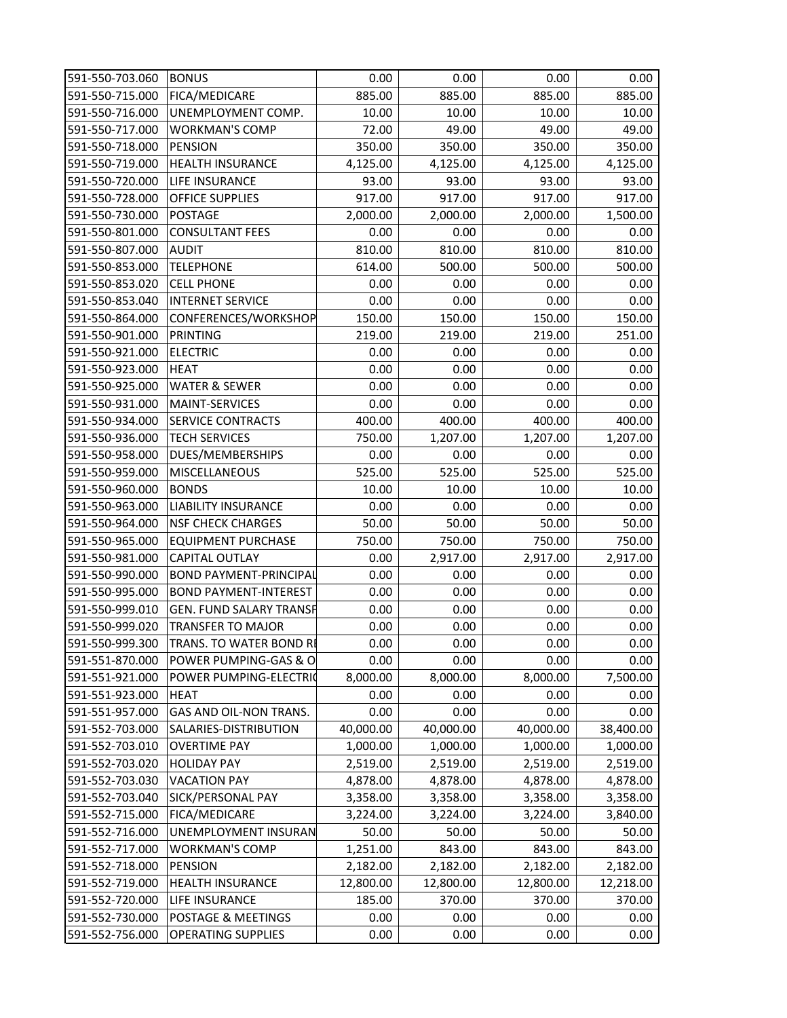| 591-550-703.060 | <b>BONUS</b>                   | 0.00      | 0.00      | 0.00      | 0.00      |
|-----------------|--------------------------------|-----------|-----------|-----------|-----------|
| 591-550-715.000 | FICA/MEDICARE                  | 885.00    | 885.00    | 885.00    | 885.00    |
| 591-550-716.000 | UNEMPLOYMENT COMP.             | 10.00     | 10.00     | 10.00     | 10.00     |
| 591-550-717.000 | <b>WORKMAN'S COMP</b>          | 72.00     | 49.00     | 49.00     | 49.00     |
| 591-550-718.000 | <b>PENSION</b>                 | 350.00    | 350.00    | 350.00    | 350.00    |
| 591-550-719.000 | <b>HEALTH INSURANCE</b>        | 4,125.00  | 4,125.00  | 4,125.00  | 4,125.00  |
| 591-550-720.000 | <b>LIFE INSURANCE</b>          | 93.00     | 93.00     | 93.00     | 93.00     |
| 591-550-728.000 | <b>OFFICE SUPPLIES</b>         | 917.00    | 917.00    | 917.00    | 917.00    |
| 591-550-730.000 | <b>POSTAGE</b>                 | 2,000.00  | 2,000.00  | 2,000.00  | 1,500.00  |
| 591-550-801.000 | <b>CONSULTANT FEES</b>         | 0.00      | 0.00      | 0.00      | 0.00      |
| 591-550-807.000 | <b>AUDIT</b>                   | 810.00    | 810.00    | 810.00    | 810.00    |
| 591-550-853.000 | <b>TELEPHONE</b>               | 614.00    | 500.00    | 500.00    | 500.00    |
| 591-550-853.020 | <b>CELL PHONE</b>              | 0.00      | 0.00      | 0.00      | 0.00      |
| 591-550-853.040 | <b>INTERNET SERVICE</b>        | 0.00      | 0.00      | 0.00      | 0.00      |
| 591-550-864.000 | CONFERENCES/WORKSHOP           | 150.00    | 150.00    | 150.00    | 150.00    |
| 591-550-901.000 | <b>PRINTING</b>                | 219.00    | 219.00    | 219.00    | 251.00    |
| 591-550-921.000 | <b>ELECTRIC</b>                | 0.00      | 0.00      | 0.00      | 0.00      |
| 591-550-923.000 | <b>HEAT</b>                    | 0.00      | 0.00      | 0.00      | 0.00      |
| 591-550-925.000 | <b>WATER &amp; SEWER</b>       | 0.00      | 0.00      | 0.00      | 0.00      |
| 591-550-931.000 | <b>MAINT-SERVICES</b>          | 0.00      | 0.00      | 0.00      | 0.00      |
| 591-550-934.000 | <b>SERVICE CONTRACTS</b>       | 400.00    | 400.00    | 400.00    | 400.00    |
| 591-550-936.000 | <b>TECH SERVICES</b>           | 750.00    | 1,207.00  | 1,207.00  | 1,207.00  |
| 591-550-958.000 | DUES/MEMBERSHIPS               | 0.00      | 0.00      | 0.00      | 0.00      |
| 591-550-959.000 | <b>MISCELLANEOUS</b>           | 525.00    | 525.00    | 525.00    | 525.00    |
| 591-550-960.000 | <b>BONDS</b>                   | 10.00     | 10.00     | 10.00     | 10.00     |
| 591-550-963.000 | <b>LIABILITY INSURANCE</b>     | 0.00      | 0.00      | 0.00      | 0.00      |
| 591-550-964.000 | <b>NSF CHECK CHARGES</b>       | 50.00     | 50.00     | 50.00     | 50.00     |
| 591-550-965.000 | <b>EQUIPMENT PURCHASE</b>      | 750.00    | 750.00    | 750.00    | 750.00    |
| 591-550-981.000 | <b>CAPITAL OUTLAY</b>          | 0.00      | 2,917.00  | 2,917.00  | 2,917.00  |
| 591-550-990.000 | <b>BOND PAYMENT-PRINCIPAL</b>  | 0.00      | 0.00      | 0.00      | 0.00      |
| 591-550-995.000 | <b>BOND PAYMENT-INTEREST</b>   | 0.00      | 0.00      | 0.00      | 0.00      |
| 591-550-999.010 | <b>GEN. FUND SALARY TRANSF</b> | 0.00      | 0.00      | 0.00      | 0.00      |
| 591-550-999.020 | <b>TRANSFER TO MAJOR</b>       | 0.00      | 0.00      | 0.00      | 0.00      |
| 591-550-999.300 | TRANS. TO WATER BOND RE        | 0.00      | 0.00      | 0.00      | 0.00      |
| 591-551-870.000 | POWER PUMPING-GAS & O          | 0.00      | 0.00      | 0.00      | 0.00      |
| 591-551-921.000 | POWER PUMPING-ELECTRIC         | 8,000.00  | 8,000.00  | 8,000.00  | 7,500.00  |
| 591-551-923.000 | <b>HEAT</b>                    | 0.00      | 0.00      | 0.00      | 0.00      |
| 591-551-957.000 | GAS AND OIL-NON TRANS.         | 0.00      | 0.00      | 0.00      | 0.00      |
| 591-552-703.000 | SALARIES-DISTRIBUTION          | 40,000.00 | 40,000.00 | 40,000.00 | 38,400.00 |
| 591-552-703.010 | <b>OVERTIME PAY</b>            | 1,000.00  | 1,000.00  | 1,000.00  | 1,000.00  |
| 591-552-703.020 | <b>HOLIDAY PAY</b>             | 2,519.00  | 2,519.00  | 2,519.00  | 2,519.00  |
| 591-552-703.030 | <b>VACATION PAY</b>            | 4,878.00  | 4,878.00  | 4,878.00  | 4,878.00  |
| 591-552-703.040 | SICK/PERSONAL PAY              | 3,358.00  | 3,358.00  | 3,358.00  | 3,358.00  |
| 591-552-715.000 | <b>FICA/MEDICARE</b>           | 3,224.00  | 3,224.00  | 3,224.00  | 3,840.00  |
| 591-552-716.000 | <b>UNEMPLOYMENT INSURAN</b>    | 50.00     | 50.00     | 50.00     | 50.00     |
| 591-552-717.000 | <b>WORKMAN'S COMP</b>          | 1,251.00  | 843.00    | 843.00    | 843.00    |
| 591-552-718.000 | <b>PENSION</b>                 | 2,182.00  | 2,182.00  | 2,182.00  | 2,182.00  |
| 591-552-719.000 | <b>HEALTH INSURANCE</b>        | 12,800.00 | 12,800.00 | 12,800.00 | 12,218.00 |
| 591-552-720.000 | <b>LIFE INSURANCE</b>          | 185.00    | 370.00    | 370.00    | 370.00    |
| 591-552-730.000 | POSTAGE & MEETINGS             | 0.00      | 0.00      | 0.00      | 0.00      |
| 591-552-756.000 | <b>OPERATING SUPPLIES</b>      | 0.00      | 0.00      | 0.00      | 0.00      |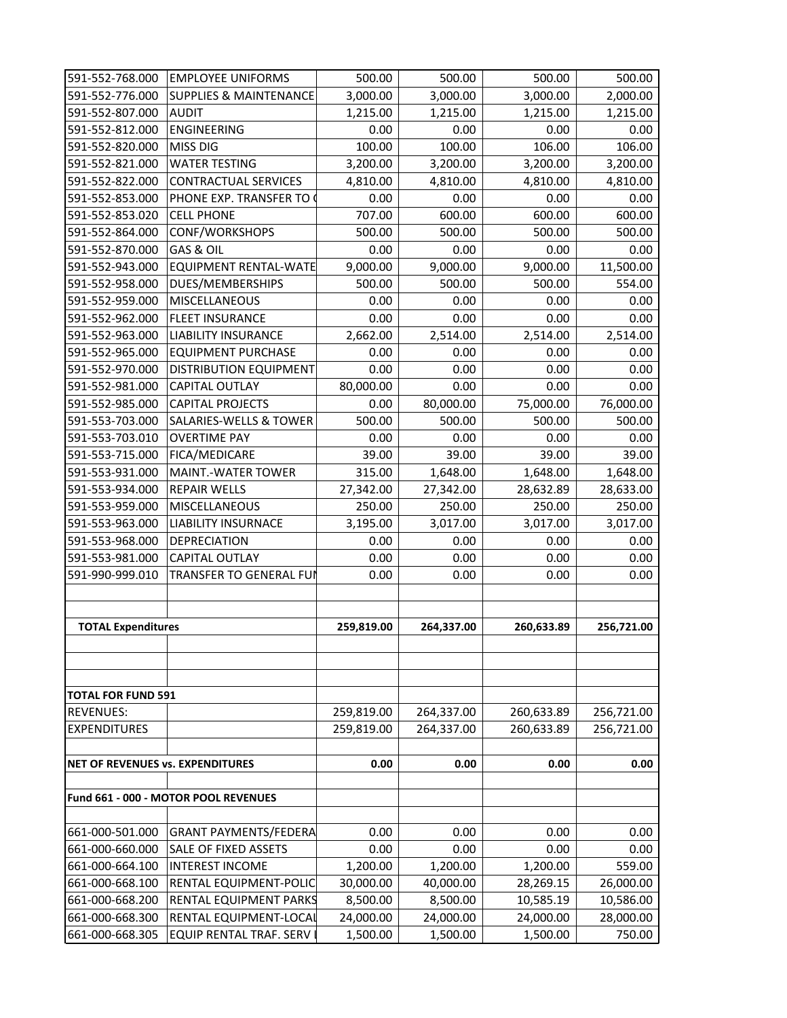| 591-552-768.000                  | <b>EMPLOYEE UNIFORMS</b>             | 500.00     | 500.00     | 500.00     | 500.00     |
|----------------------------------|--------------------------------------|------------|------------|------------|------------|
| 591-552-776.000                  | <b>SUPPLIES &amp; MAINTENANCE</b>    | 3,000.00   | 3,000.00   | 3,000.00   | 2,000.00   |
| 591-552-807.000                  | <b>AUDIT</b>                         | 1,215.00   | 1,215.00   | 1,215.00   | 1,215.00   |
| 591-552-812.000                  | <b>ENGINEERING</b>                   | 0.00       | 0.00       | 0.00       | 0.00       |
| 591-552-820.000                  | <b>MISS DIG</b>                      | 100.00     | 100.00     | 106.00     | 106.00     |
| 591-552-821.000                  | <b>WATER TESTING</b>                 | 3,200.00   | 3,200.00   | 3,200.00   | 3,200.00   |
| 591-552-822.000                  | <b>CONTRACTUAL SERVICES</b>          | 4,810.00   | 4,810.00   | 4,810.00   | 4,810.00   |
| 591-552-853.000                  | PHONE EXP. TRANSFER TO               | 0.00       | 0.00       | 0.00       | 0.00       |
| 591-552-853.020                  | <b>CELL PHONE</b>                    | 707.00     | 600.00     | 600.00     | 600.00     |
| 591-552-864.000                  | <b>CONF/WORKSHOPS</b>                | 500.00     | 500.00     | 500.00     | 500.00     |
| 591-552-870.000                  | GAS & OIL                            | 0.00       | 0.00       | 0.00       | 0.00       |
| 591-552-943.000                  | <b>EQUIPMENT RENTAL-WATE</b>         | 9,000.00   | 9,000.00   | 9,000.00   | 11,500.00  |
| 591-552-958.000                  | DUES/MEMBERSHIPS                     | 500.00     | 500.00     | 500.00     | 554.00     |
| 591-552-959.000                  | <b>MISCELLANEOUS</b>                 | 0.00       | 0.00       | 0.00       | 0.00       |
| 591-552-962.000                  | <b>FLEET INSURANCE</b>               | 0.00       | 0.00       | 0.00       | 0.00       |
| 591-552-963.000                  | <b>LIABILITY INSURANCE</b>           | 2,662.00   | 2,514.00   | 2,514.00   | 2,514.00   |
| 591-552-965.000                  | <b>EQUIPMENT PURCHASE</b>            | 0.00       | 0.00       | 0.00       | 0.00       |
| 591-552-970.000                  | <b>DISTRIBUTION EQUIPMENT</b>        | 0.00       | 0.00       | 0.00       | 0.00       |
| 591-552-981.000                  | <b>CAPITAL OUTLAY</b>                | 80,000.00  | 0.00       | 0.00       | 0.00       |
| 591-552-985.000                  | <b>CAPITAL PROJECTS</b>              | 0.00       | 80,000.00  | 75,000.00  | 76,000.00  |
| 591-553-703.000                  | <b>SALARIES-WELLS &amp; TOWER</b>    | 500.00     | 500.00     | 500.00     | 500.00     |
| 591-553-703.010                  | <b>OVERTIME PAY</b>                  | 0.00       | 0.00       | 0.00       | 0.00       |
| 591-553-715.000                  | <b>FICA/MEDICARE</b>                 | 39.00      | 39.00      | 39.00      | 39.00      |
| 591-553-931.000                  | <b>MAINT.-WATER TOWER</b>            | 315.00     | 1,648.00   | 1,648.00   | 1,648.00   |
| 591-553-934.000                  | <b>REPAIR WELLS</b>                  | 27,342.00  | 27,342.00  | 28,632.89  | 28,633.00  |
| 591-553-959.000                  | <b>MISCELLANEOUS</b>                 | 250.00     | 250.00     | 250.00     | 250.00     |
| 591-553-963.000                  | <b>LIABILITY INSURNACE</b>           | 3,195.00   | 3,017.00   | 3,017.00   | 3,017.00   |
| 591-553-968.000                  | <b>DEPRECIATION</b>                  | 0.00       | 0.00       | 0.00       | 0.00       |
| 591-553-981.000                  | CAPITAL OUTLAY                       | 0.00       | 0.00       | 0.00       | 0.00       |
| 591-990-999.010                  | <b>TRANSFER TO GENERAL FUI</b>       | 0.00       | 0.00       | 0.00       | 0.00       |
|                                  |                                      |            |            |            |            |
|                                  |                                      |            |            |            |            |
| <b>TOTAL Expenditures</b>        |                                      | 259,819.00 | 264,337.00 | 260,633.89 | 256,721.00 |
|                                  |                                      |            |            |            |            |
|                                  |                                      |            |            |            |            |
|                                  |                                      |            |            |            |            |
| <b>TOTAL FOR FUND 591</b>        |                                      |            |            |            |            |
| <b>REVENUES:</b>                 |                                      | 259,819.00 | 264,337.00 | 260,633.89 | 256,721.00 |
| <b>EXPENDITURES</b>              |                                      | 259,819.00 | 264,337.00 | 260,633.89 | 256,721.00 |
|                                  |                                      |            |            |            |            |
| NET OF REVENUES vs. EXPENDITURES |                                      | 0.00       | 0.00       | 0.00       | 0.00       |
|                                  |                                      |            |            |            |            |
|                                  | Fund 661 - 000 - MOTOR POOL REVENUES |            |            |            |            |
|                                  |                                      |            |            |            |            |
| 661-000-501.000                  | <b>GRANT PAYMENTS/FEDERA</b>         | 0.00       | 0.00       | 0.00       | 0.00       |
| 661-000-660.000                  | <b>SALE OF FIXED ASSETS</b>          | 0.00       | 0.00       | 0.00       | 0.00       |
| 661-000-664.100                  | <b>INTEREST INCOME</b>               | 1,200.00   | 1,200.00   | 1,200.00   | 559.00     |
| 661-000-668.100                  | RENTAL EQUIPMENT-POLIC               | 30,000.00  | 40,000.00  | 28,269.15  | 26,000.00  |
| 661-000-668.200                  | RENTAL EQUIPMENT PARKS               | 8,500.00   | 8,500.00   | 10,585.19  | 10,586.00  |
| 661-000-668.300                  | RENTAL EQUIPMENT-LOCAL               | 24,000.00  | 24,000.00  | 24,000.00  | 28,000.00  |
| 661-000-668.305                  | EQUIP RENTAL TRAF. SERV              | 1,500.00   | 1,500.00   | 1,500.00   | 750.00     |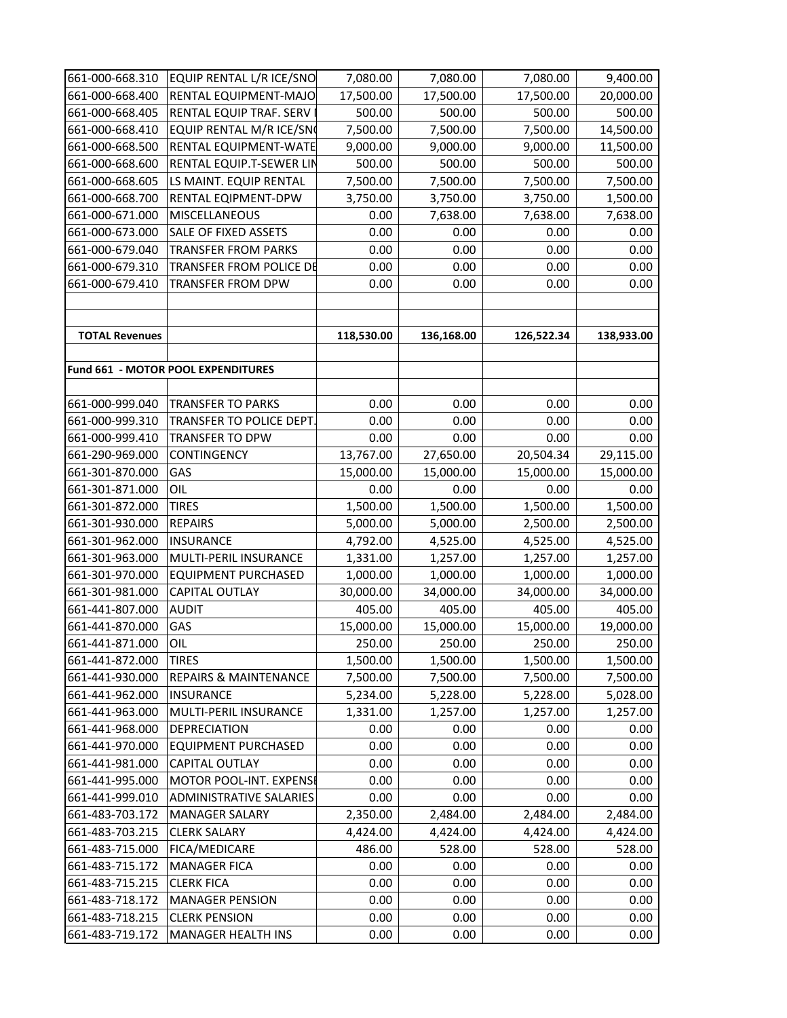| 661-000-668.310       | EQUIP RENTAL L/R ICE/SNO           | 7,080.00   | 7,080.00   | 7,080.00   | 9,400.00   |
|-----------------------|------------------------------------|------------|------------|------------|------------|
| 661-000-668.400       | RENTAL EQUIPMENT-MAJO              | 17,500.00  | 17,500.00  | 17,500.00  | 20,000.00  |
| 661-000-668.405       | RENTAL EQUIP TRAF. SERV            | 500.00     | 500.00     | 500.00     | 500.00     |
| 661-000-668.410       | EQUIP RENTAL M/R ICE/SNO           | 7,500.00   | 7,500.00   | 7,500.00   | 14,500.00  |
| 661-000-668.500       | RENTAL EQUIPMENT-WATE              | 9,000.00   | 9,000.00   | 9,000.00   | 11,500.00  |
| 661-000-668.600       | RENTAL EQUIP.T-SEWER LIN           | 500.00     | 500.00     | 500.00     | 500.00     |
| 661-000-668.605       | LS MAINT. EQUIP RENTAL             | 7,500.00   | 7,500.00   | 7,500.00   | 7,500.00   |
| 661-000-668.700       | RENTAL EQIPMENT-DPW                | 3,750.00   | 3,750.00   | 3,750.00   | 1,500.00   |
| 661-000-671.000       | <b>MISCELLANEOUS</b>               | 0.00       | 7,638.00   | 7,638.00   | 7,638.00   |
| 661-000-673.000       | SALE OF FIXED ASSETS               | 0.00       | 0.00       | 0.00       | 0.00       |
| 661-000-679.040       | <b>TRANSFER FROM PARKS</b>         | 0.00       | 0.00       | 0.00       | 0.00       |
| 661-000-679.310       | TRANSFER FROM POLICE DE            | 0.00       | 0.00       | 0.00       | 0.00       |
| 661-000-679.410       | <b>TRANSFER FROM DPW</b>           | 0.00       | 0.00       | 0.00       | 0.00       |
|                       |                                    |            |            |            |            |
|                       |                                    |            |            |            |            |
| <b>TOTAL Revenues</b> |                                    | 118,530.00 | 136,168.00 | 126,522.34 | 138,933.00 |
|                       |                                    |            |            |            |            |
|                       | Fund 661 - MOTOR POOL EXPENDITURES |            |            |            |            |
|                       |                                    |            |            |            |            |
| 661-000-999.040       | <b>TRANSFER TO PARKS</b>           | 0.00       | 0.00       | 0.00       | 0.00       |
| 661-000-999.310       | TRANSFER TO POLICE DEPT.           | 0.00       | 0.00       | 0.00       | 0.00       |
| 661-000-999.410       | <b>TRANSFER TO DPW</b>             | 0.00       | 0.00       | 0.00       | 0.00       |
| 661-290-969.000       | <b>CONTINGENCY</b>                 | 13,767.00  | 27,650.00  | 20,504.34  | 29,115.00  |
| 661-301-870.000       | GAS                                | 15,000.00  | 15,000.00  | 15,000.00  | 15,000.00  |
| 661-301-871.000       | OIL                                | 0.00       | 0.00       | 0.00       | 0.00       |
| 661-301-872.000       | <b>TIRES</b>                       | 1,500.00   | 1,500.00   | 1,500.00   | 1,500.00   |
| 661-301-930.000       | <b>REPAIRS</b>                     | 5,000.00   | 5,000.00   | 2,500.00   | 2,500.00   |
| 661-301-962.000       | <b>INSURANCE</b>                   | 4,792.00   | 4,525.00   | 4,525.00   | 4,525.00   |
| 661-301-963.000       | MULTI-PERIL INSURANCE              | 1,331.00   | 1,257.00   | 1,257.00   | 1,257.00   |
| 661-301-970.000       | <b>EQUIPMENT PURCHASED</b>         | 1,000.00   | 1,000.00   | 1,000.00   | 1,000.00   |
| 661-301-981.000       | <b>CAPITAL OUTLAY</b>              | 30,000.00  | 34,000.00  | 34,000.00  | 34,000.00  |
| 661-441-807.000       | <b>AUDIT</b>                       | 405.00     | 405.00     | 405.00     | 405.00     |
| 661-441-870.000       | GAS                                | 15,000.00  | 15,000.00  | 15,000.00  | 19,000.00  |
| 661-441-871.000       | OIL                                | 250.00     | 250.00     | 250.00     | 250.00     |
| 661-441-872.000       | <b>TIRES</b>                       | 1,500.00   | 1,500.00   | 1,500.00   | 1,500.00   |
| 661-441-930.000       | <b>REPAIRS &amp; MAINTENANCE</b>   | 7,500.00   | 7,500.00   | 7,500.00   | 7,500.00   |
| 661-441-962.000       | <b>INSURANCE</b>                   | 5,234.00   | 5,228.00   | 5,228.00   | 5,028.00   |
| 661-441-963.000       | MULTI-PERIL INSURANCE              | 1,331.00   | 1,257.00   | 1,257.00   | 1,257.00   |
| 661-441-968.000       | <b>DEPRECIATION</b>                | 0.00       | 0.00       | 0.00       | 0.00       |
| 661-441-970.000       | <b>EQUIPMENT PURCHASED</b>         | 0.00       | 0.00       | 0.00       | 0.00       |
| 661-441-981.000       | <b>CAPITAL OUTLAY</b>              | 0.00       | 0.00       | 0.00       | 0.00       |
| 661-441-995.000       | MOTOR POOL-INT. EXPENSE            | 0.00       | 0.00       | 0.00       | 0.00       |
| 661-441-999.010       | <b>ADMINISTRATIVE SALARIES</b>     | 0.00       | 0.00       | 0.00       | 0.00       |
| 661-483-703.172       | <b>MANAGER SALARY</b>              | 2,350.00   | 2,484.00   | 2,484.00   | 2,484.00   |
| 661-483-703.215       | <b>CLERK SALARY</b>                | 4,424.00   | 4,424.00   | 4,424.00   | 4,424.00   |
| 661-483-715.000       | <b>FICA/MEDICARE</b>               | 486.00     | 528.00     | 528.00     | 528.00     |
| 661-483-715.172       | <b>MANAGER FICA</b>                | 0.00       | 0.00       | 0.00       | 0.00       |
| 661-483-715.215       | <b>CLERK FICA</b>                  | 0.00       | 0.00       | 0.00       | 0.00       |
| 661-483-718.172       | <b>MANAGER PENSION</b>             | 0.00       | 0.00       | 0.00       | 0.00       |
| 661-483-718.215       | <b>CLERK PENSION</b>               | 0.00       | 0.00       | 0.00       | 0.00       |
| 661-483-719.172       | <b>MANAGER HEALTH INS</b>          | 0.00       | 0.00       | 0.00       | 0.00       |